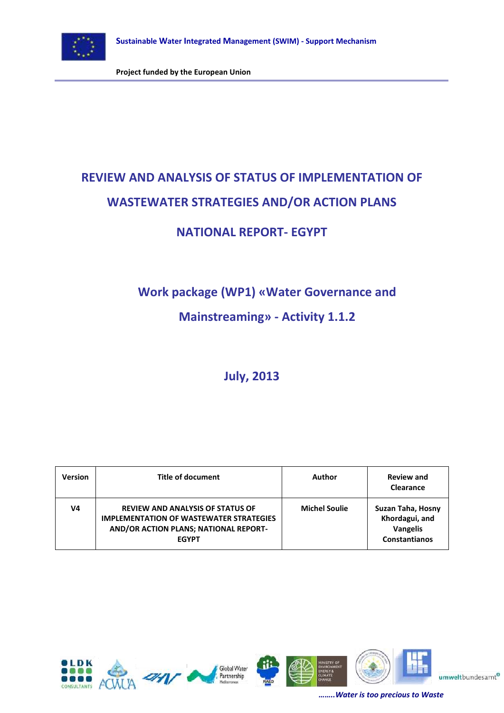

# **REVIEW AND ANALYSIS OF STATUS OF IMPLEMENTATION OF WASTEWATER STRATEGIES AND/OR ACTION PLANS**

## **NATIONAL REPORT- EGYPT**

## **Work package (WP1) «Water Governance and**

## **Mainstreaming» - Activity 1.1.2**

## **July, 2013**

| <b>Version</b> | Title of document                                                                                                                                  | Author               | <b>Review and</b><br>Clearance                                                 |
|----------------|----------------------------------------------------------------------------------------------------------------------------------------------------|----------------------|--------------------------------------------------------------------------------|
| V4             | <b>REVIEW AND ANALYSIS OF STATUS OF</b><br><b>IMPLEMENTATION OF WASTEWATER STRATEGIES</b><br>AND/OR ACTION PLANS; NATIONAL REPORT-<br><b>EGYPT</b> | <b>Michel Soulie</b> | Suzan Taha, Hosny<br>Khordagui, and<br><b>Vangelis</b><br><b>Constantianos</b> |







umweltbundesamt®

*……..Water is too precious to Waste*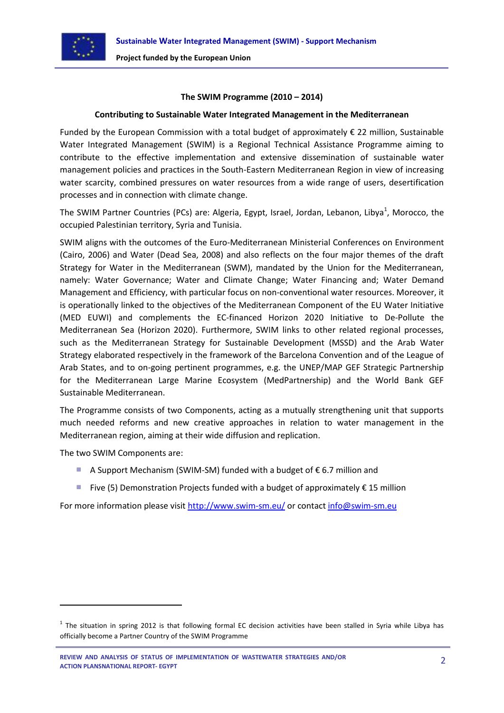

#### **The SWIM Programme (2010 – 2014)**

#### **Contributing to Sustainable Water Integrated Management in the Mediterranean**

Funded by the European Commission with a total budget of approximately € 22 million, Sustainable Water Integrated Management (SWIM) is a Regional Technical Assistance Programme aiming to contribute to the effective implementation and extensive dissemination of sustainable water management policies and practices in the South-Eastern Mediterranean Region in view of increasing water scarcity, combined pressures on water resources from a wide range of users, desertification processes and in connection with climate change.

The SWIM Partner Countries (PCs) are: Algeria, Egypt, Israel, Jordan, Lebanon, Libya<sup>1</sup>, Morocco, the occupied Palestinian territory, Syria and Tunisia.

SWIM aligns with the outcomes of the Euro‐Mediterranean Ministerial Conferences on Environment (Cairo, 2006) and Water (Dead Sea, 2008) and also reflects on the four major themes of the draft Strategy for Water in the Mediterranean (SWM), mandated by the Union for the Mediterranean, namely: Water Governance; Water and Climate Change; Water Financing and; Water Demand Management and Efficiency, with particular focus on non-conventional water resources. Moreover, it is operationally linked to the objectives of the Mediterranean Component of the EU Water Initiative (MED EUWI) and complements the EC‐financed Horizon 2020 Initiative to De‐Pollute the Mediterranean Sea (Horizon 2020). Furthermore, SWIM links to other related regional processes, such as the Mediterranean Strategy for Sustainable Development (MSSD) and the Arab Water Strategy elaborated respectively in the framework of the Barcelona Convention and of the League of Arab States, and to on-going pertinent programmes, e.g. the UNEP/MAP GEF Strategic Partnership for the Mediterranean Large Marine Ecosystem (MedPartnership) and the World Bank GEF Sustainable Mediterranean.

The Programme consists of two Components, acting as a mutually strengthening unit that supports much needed reforms and new creative approaches in relation to water management in the Mediterranean region, aiming at their wide diffusion and replication.

The two SWIM Components are:

1

- A Support Mechanism (SWIM-SM) funded with a budget of  $\epsilon$  6.7 million and
- **Five (5) Demonstration Projects funded with a budget of approximately € 15 million**

For more information please visit <http://www.swim-sm.eu/> or contact [info@swim-sm.eu](mailto:info@swim-sm.eu)

 $^1$  The situation in spring 2012 is that following formal EC decision activities have been stalled in Syria while Libya has officially become a Partner Country of the SWIM Programme

**REVIEW AND ANALYSIS OF STATUS OF IMPLEMENTATION OF WASTEWATER STRATEGIES AND/OR ACTION PLANSNATIONAL REPORT- EGYPT**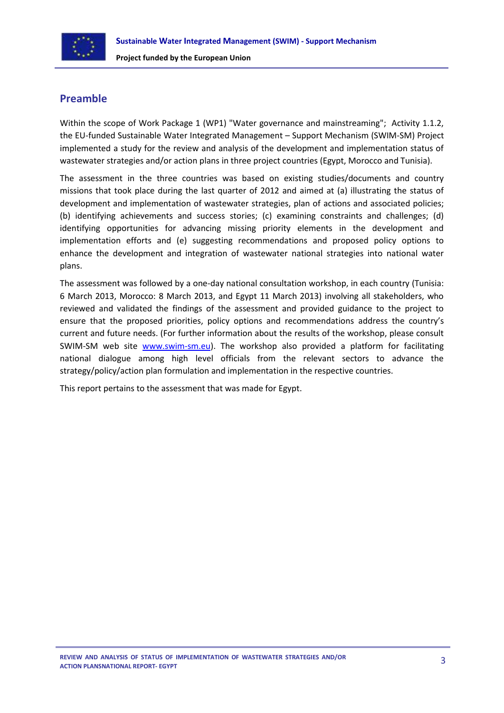

## **Preamble**

Within the scope of Work Package 1 (WP1) "Water governance and mainstreaming"; Activity 1.1.2, the EU-funded Sustainable Water Integrated Management – Support Mechanism (SWIM-SM) Project implemented a study for the review and analysis of the development and implementation status of wastewater strategies and/or action plans in three project countries (Egypt, Morocco and Tunisia).

The assessment in the three countries was based on existing studies/documents and country missions that took place during the last quarter of 2012 and aimed at (a) illustrating the status of development and implementation of wastewater strategies, plan of actions and associated policies; (b) identifying achievements and success stories; (c) examining constraints and challenges; (d) identifying opportunities for advancing missing priority elements in the development and implementation efforts and (e) suggesting recommendations and proposed policy options to enhance the development and integration of wastewater national strategies into national water plans.

The assessment was followed by a one-day national consultation workshop, in each country (Tunisia: 6 March 2013, Morocco: 8 March 2013, and Egypt 11 March 2013) involving all stakeholders, who reviewed and validated the findings of the assessment and provided guidance to the project to ensure that the proposed priorities, policy options and recommendations address the country's current and future needs. (For further information about the results of the workshop, please consult SWIM-SM web site [www.swim-sm.eu\)](http://www.swim-sm.eu/). The workshop also provided a platform for facilitating national dialogue among high level officials from the relevant sectors to advance the strategy/policy/action plan formulation and implementation in the respective countries.

This report pertains to the assessment that was made for Egypt.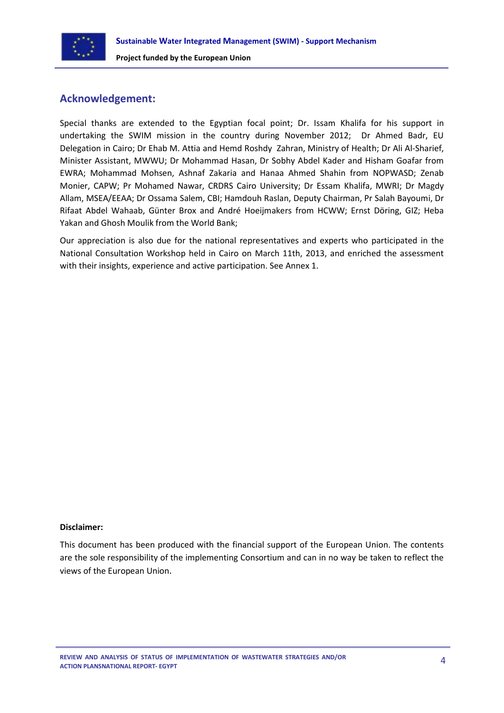

## **Acknowledgement:**

Special thanks are extended to the Egyptian focal point; Dr. Issam Khalifa for his support in undertaking the SWIM mission in the country during November 2012; Dr Ahmed Badr, EU Delegation in Cairo; Dr Ehab M. Attia and Hemd Roshdy Zahran, Ministry of Health; Dr Ali Al-Sharief, Minister Assistant, MWWU; Dr Mohammad Hasan, Dr Sobhy Abdel Kader and Hisham Goafar from EWRA; Mohammad Mohsen, Ashnaf Zakaria and Hanaa Ahmed Shahin from NOPWASD; Zenab Monier, CAPW; Pr Mohamed Nawar, CRDRS Cairo University; Dr Essam Khalifa, MWRI; Dr Magdy Allam, MSEA/EEAA; Dr Ossama Salem, CBI; Hamdouh Raslan, Deputy Chairman, Pr Salah Bayoumi, Dr Rifaat Abdel Wahaab, Günter Brox and André Hoeijmakers from HCWW; Ernst Döring, GIZ; Heba Yakan and Ghosh Moulik from the World Bank;

Our appreciation is also due for the national representatives and experts who participated in the National Consultation Workshop held in Cairo on March 11th, 2013, and enriched the assessment with their insights, experience and active participation. See Annex 1.

#### **Disclaimer:**

This document has been produced with the financial support of the European Union. The contents are the sole responsibility of the implementing Consortium and can in no way be taken to reflect the views of the European Union.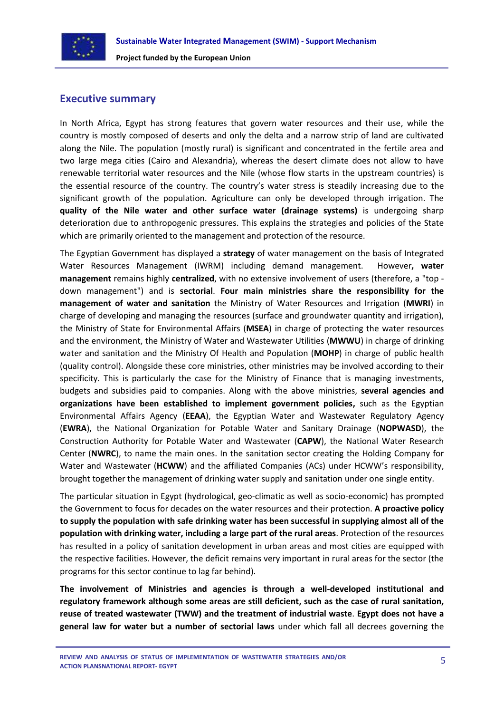

## **Executive summary**

In North Africa, Egypt has strong features that govern water resources and their use, while the country is mostly composed of deserts and only the delta and a narrow strip of land are cultivated along the Nile. The population (mostly rural) is significant and concentrated in the fertile area and two large mega cities (Cairo and Alexandria), whereas the desert climate does not allow to have renewable territorial water resources and the Nile (whose flow starts in the upstream countries) is the essential resource of the country. The country's water stress is steadily increasing due to the significant growth of the population. Agriculture can only be developed through irrigation. The **quality of the Nile water and other surface water (drainage systems)** is undergoing sharp deterioration due to anthropogenic pressures. This explains the strategies and policies of the State which are primarily oriented to the management and protection of the resource.

The Egyptian Government has displayed a **strategy** of water management on the basis of Integrated Water Resources Management (IWRM) including demand management. However**, water management** remains highly **centralized**, with no extensive involvement of users (therefore, a "top down management") and is **sectorial**. **Four main ministries share the responsibility for the management of water and sanitation** the Ministry of Water Resources and Irrigation (**MWRI**) in charge of developing and managing the resources (surface and groundwater quantity and irrigation), the Ministry of State for Environmental Affairs (**MSEA**) in charge of protecting the water resources and the environment, the Ministry of Water and Wastewater Utilities (**MWWU**) in charge of drinking water and sanitation and the Ministry Of Health and Population (**MOHP**) in charge of public health (quality control). Alongside these core ministries, other ministries may be involved according to their specificity. This is particularly the case for the Ministry of Finance that is managing investments, budgets and subsidies paid to companies. Along with the above ministries, **several agencies and organizations have been established to implement government policies,** such as the Egyptian Environmental Affairs Agency (**EEAA**), the Egyptian Water and Wastewater Regulatory Agency (**EWRA**), the National Organization for Potable Water and Sanitary Drainage (**NOPWASD**), the Construction Authority for Potable Water and Wastewater (**CAPW**), the National Water Research Center (**NWRC**), to name the main ones. In the sanitation sector creating the Holding Company for Water and Wastewater (**HCWW**) and the affiliated Companies (ACs) under HCWW's responsibility, brought together the management of drinking water supply and sanitation under one single entity.

The particular situation in Egypt (hydrological, geo-climatic as well as socio-economic) has prompted the Government to focus for decades on the water resources and their protection. **A proactive policy to supply the population with safe drinking water has been successful in supplying almost all of the population with drinking water, including a large part of the rural areas**. Protection of the resources has resulted in a policy of sanitation development in urban areas and most cities are equipped with the respective facilities. However, the deficit remains very important in rural areas for the sector (the programs for this sector continue to lag far behind).

**The involvement of Ministries and agencies is through a well-developed institutional and regulatory framework although some areas are still deficient, such as the case of rural sanitation, reuse of treated wastewater (TWW) and the treatment of industrial waste**. **Egypt does not have a general law for water but a number of sectorial laws** under which fall all decrees governing the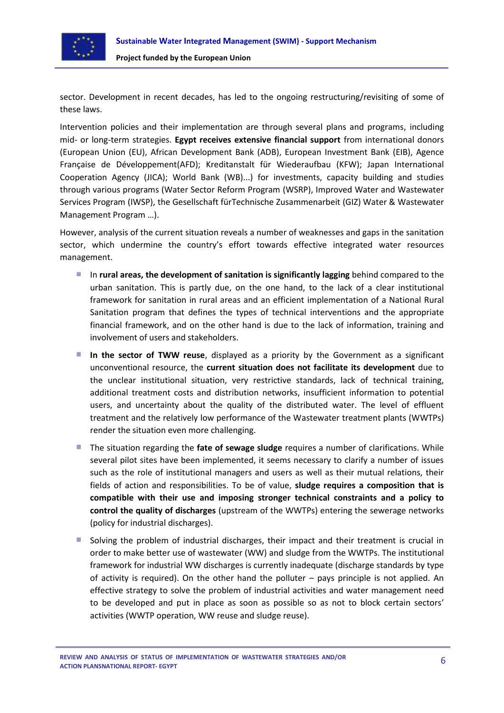

sector. Development in recent decades, has led to the ongoing restructuring/revisiting of some of these laws.

Intervention policies and their implementation are through several plans and programs, including mid- or long-term strategies. **Egypt receives extensive financial support** from international donors (European Union (EU), African Development Bank (ADB), European Investment Bank (EIB), Agence Française de Développement(AFD); Kreditanstalt für Wiederaufbau (KFW); Japan International Cooperation Agency (JICA); World Bank (WB)...) for investments, capacity building and studies through various programs (Water Sector Reform Program (WSRP), Improved Water and Wastewater Services Program (IWSP), the Gesellschaft fürTechnische Zusammenarbeit (GIZ) Water & Wastewater Management Program …).

However, analysis of the current situation reveals a number of weaknesses and gaps in the sanitation sector, which undermine the country's effort towards effective integrated water resources management.

- In **rural areas, the development of sanitation is significantly lagging** behind compared to the urban sanitation. This is partly due, on the one hand, to the lack of a clear institutional framework for sanitation in rural areas and an efficient implementation of a National Rural Sanitation program that defines the types of technical interventions and the appropriate financial framework, and on the other hand is due to the lack of information, training and involvement of users and stakeholders.
- **In the sector of TWW reuse**, displayed as a priority by the Government as a significant unconventional resource, the **current situation does not facilitate its development** due to the unclear institutional situation, very restrictive standards, lack of technical training, additional treatment costs and distribution networks, insufficient information to potential users, and uncertainty about the quality of the distributed water. The level of effluent treatment and the relatively low performance of the Wastewater treatment plants (WWTPs) render the situation even more challenging.
- The situation regarding the **fate of sewage sludge** requires a number of clarifications. While several pilot sites have been implemented, it seems necessary to clarify a number of issues such as the role of institutional managers and users as well as their mutual relations, their fields of action and responsibilities. To be of value, **sludge requires a composition that is compatible with their use and imposing stronger technical constraints and a policy to control the quality of discharges** (upstream of the WWTPs) entering the sewerage networks (policy for industrial discharges).
- Solving the problem of industrial discharges, their impact and their treatment is crucial in order to make better use of wastewater (WW) and sludge from the WWTPs. The institutional framework for industrial WW discharges is currently inadequate (discharge standards by type of activity is required). On the other hand the polluter – pays principle is not applied. An effective strategy to solve the problem of industrial activities and water management need to be developed and put in place as soon as possible so as not to block certain sectors' activities (WWTP operation, WW reuse and sludge reuse).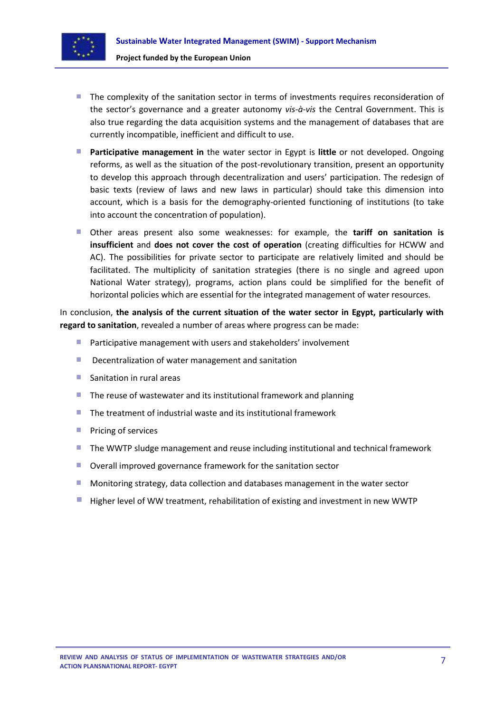

- The complexity of the sanitation sector in terms of investments requires reconsideration of the sector's governance and a greater autonomy *vis-à-vis* the Central Government. This is also true regarding the data acquisition systems and the management of databases that are currently incompatible, inefficient and difficult to use.
- **Participative management in** the water sector in Egypt is **little** or not developed. Ongoing reforms, as well as the situation of the post-revolutionary transition, present an opportunity to develop this approach through decentralization and users' participation. The redesign of basic texts (review of laws and new laws in particular) should take this dimension into account, which is a basis for the demography-oriented functioning of institutions (to take into account the concentration of population).
- Other areas present also some weaknesses: for example, the **tariff on sanitation is insufficient** and **does not cover the cost of operation** (creating difficulties for HCWW and AC). The possibilities for private sector to participate are relatively limited and should be facilitated. The multiplicity of sanitation strategies (there is no single and agreed upon National Water strategy), programs, action plans could be simplified for the benefit of horizontal policies which are essential for the integrated management of water resources.

In conclusion, **the analysis of the current situation of the water sector in Egypt, particularly with regard to sanitation**, revealed a number of areas where progress can be made:

- Participative management with users and stakeholders' involvement
- ٠ Decentralization of water management and sanitation
- a. Sanitation in rural areas
- $\blacksquare$  The reuse of wastewater and its institutional framework and planning
- $\blacksquare$  The treatment of industrial waste and its institutional framework
- $\mathcal{L}_{\mathcal{A}}$ Pricing of services
- **The WWTP sludge management and reuse including institutional and technical framework**
- Overall improved governance framework for the sanitation sector
- Monitoring strategy, data collection and databases management in the water sector
- Higher level of WW treatment, rehabilitation of existing and investment in new WWTP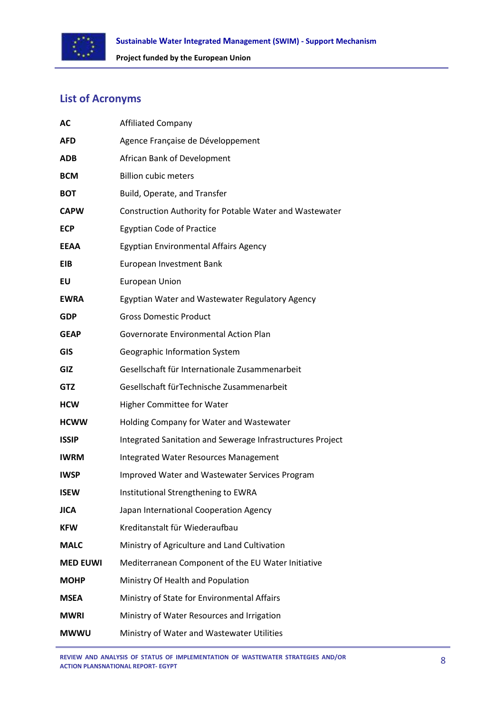

## **List of Acronyms**

| AC              | <b>Affiliated Company</b>                                  |
|-----------------|------------------------------------------------------------|
| <b>AFD</b>      | Agence Française de Développement                          |
| <b>ADB</b>      | African Bank of Development                                |
| <b>BCM</b>      | <b>Billion cubic meters</b>                                |
| <b>BOT</b>      | Build, Operate, and Transfer                               |
| <b>CAPW</b>     | Construction Authority for Potable Water and Wastewater    |
| <b>ECP</b>      | <b>Egyptian Code of Practice</b>                           |
| <b>EEAA</b>     | Egyptian Environmental Affairs Agency                      |
| <b>EIB</b>      | European Investment Bank                                   |
| EU              | <b>European Union</b>                                      |
| <b>EWRA</b>     | Egyptian Water and Wastewater Regulatory Agency            |
| <b>GDP</b>      | <b>Gross Domestic Product</b>                              |
| <b>GEAP</b>     | Governorate Environmental Action Plan                      |
| <b>GIS</b>      | <b>Geographic Information System</b>                       |
| GIZ             | Gesellschaft für Internationale Zusammenarbeit             |
| <b>GTZ</b>      | Gesellschaft für Technische Zusammenarbeit                 |
| <b>HCW</b>      | <b>Higher Committee for Water</b>                          |
| <b>HCWW</b>     | Holding Company for Water and Wastewater                   |
| <b>ISSIP</b>    | Integrated Sanitation and Sewerage Infrastructures Project |
| <b>IWRM</b>     | Integrated Water Resources Management                      |
| <b>IWSP</b>     | Improved Water and Wastewater Services Program             |
| <b>ISEW</b>     | Institutional Strengthening to EWRA                        |
| <b>JICA</b>     | Japan International Cooperation Agency                     |
| <b>KFW</b>      | Kreditanstalt für Wiederaufbau                             |
| <b>MALC</b>     | Ministry of Agriculture and Land Cultivation               |
| <b>MED EUWI</b> | Mediterranean Component of the EU Water Initiative         |
| <b>MOHP</b>     | Ministry Of Health and Population                          |
| <b>MSEA</b>     | Ministry of State for Environmental Affairs                |
| <b>MWRI</b>     | Ministry of Water Resources and Irrigation                 |
| <b>MWWU</b>     | Ministry of Water and Wastewater Utilities                 |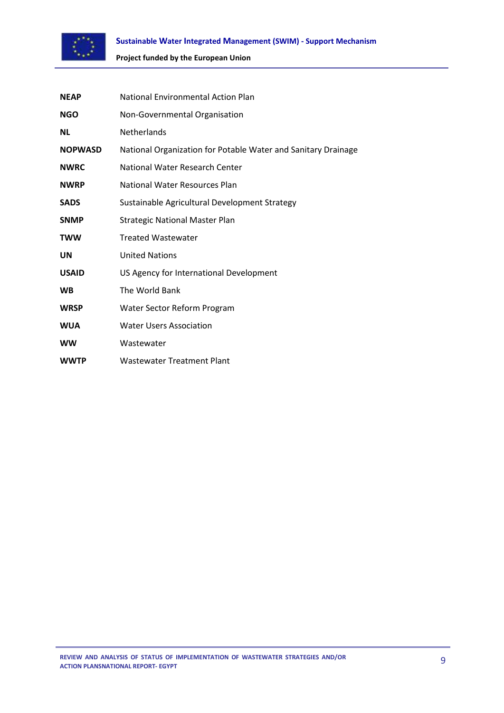

| <b>NEAP</b>    | National Environmental Action Plan                            |
|----------------|---------------------------------------------------------------|
| <b>NGO</b>     | Non-Governmental Organisation                                 |
| <b>NL</b>      | <b>Netherlands</b>                                            |
| <b>NOPWASD</b> | National Organization for Potable Water and Sanitary Drainage |
| <b>NWRC</b>    | National Water Research Center                                |
| <b>NWRP</b>    | National Water Resources Plan                                 |
| <b>SADS</b>    | Sustainable Agricultural Development Strategy                 |
| <b>SNMP</b>    | <b>Strategic National Master Plan</b>                         |
| <b>TWW</b>     | <b>Treated Wastewater</b>                                     |
| UN             | <b>United Nations</b>                                         |
| <b>USAID</b>   | US Agency for International Development                       |
| <b>WB</b>      | The World Bank                                                |
| <b>WRSP</b>    | Water Sector Reform Program                                   |
| <b>WUA</b>     | <b>Water Users Association</b>                                |
| <b>WW</b>      | Wastewater                                                    |
| <b>WWTP</b>    | <b>Wastewater Treatment Plant</b>                             |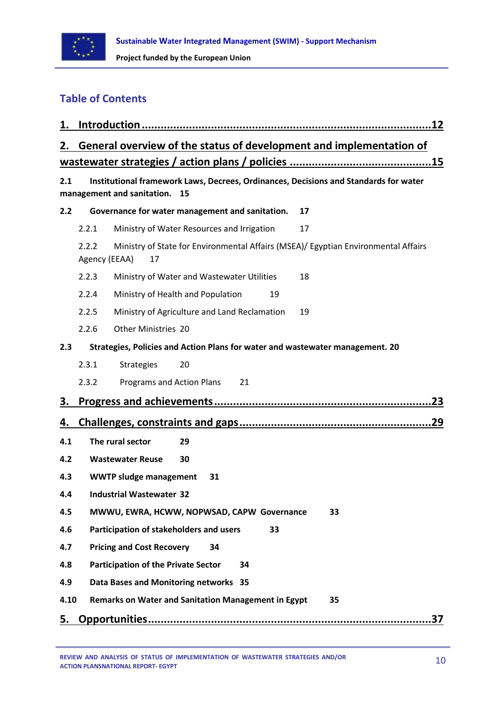

## **Table of Contents**

| 1.   |                                                                                                                       |  |
|------|-----------------------------------------------------------------------------------------------------------------------|--|
| 2.   | General overview of the status of development and implementation of                                                   |  |
|      |                                                                                                                       |  |
| 2.1  | Institutional framework Laws, Decrees, Ordinances, Decisions and Standards for water<br>management and sanitation. 15 |  |
| 2.2  | Governance for water management and sanitation.<br>17                                                                 |  |
|      | Ministry of Water Resources and Irrigation<br>2.2.1<br>17                                                             |  |
|      | 2.2.2<br>Ministry of State for Environmental Affairs (MSEA)/ Egyptian Environmental Affairs<br>Agency (EEAA)<br>17    |  |
|      | 2.2.3<br>Ministry of Water and Wastewater Utilities<br>18                                                             |  |
|      | 2.2.4<br>Ministry of Health and Population<br>19                                                                      |  |
|      | Ministry of Agriculture and Land Reclamation<br>2.2.5<br>19                                                           |  |
|      | 2.2.6<br>Other Ministries 20                                                                                          |  |
| 2.3  | Strategies, Policies and Action Plans for water and wastewater management. 20                                         |  |
|      | 2.3.1<br><b>Strategies</b><br>20                                                                                      |  |
|      | 2.3.2<br>Programs and Action Plans<br>21                                                                              |  |
| З.   |                                                                                                                       |  |
| 4.   |                                                                                                                       |  |
| 4.1  | The rural sector<br>29                                                                                                |  |
| 4.2  | <b>Wastewater Reuse</b><br>30                                                                                         |  |
| 4.3  | <b>WWTP sludge management</b><br>31                                                                                   |  |
| 4.4  | <b>Industrial Wastewater 32</b>                                                                                       |  |
| 4.5  | MWWU, EWRA, HCWW, NOPWSAD, CAPW Governance<br>33                                                                      |  |
| 4.6  | Participation of stakeholders and users<br>33                                                                         |  |
| 4.7  | <b>Pricing and Cost Recovery</b><br>34                                                                                |  |
| 4.8  | <b>Participation of the Private Sector</b><br>34                                                                      |  |
| 4.9  | Data Bases and Monitoring networks 35                                                                                 |  |
| 4.10 | Remarks on Water and Sanitation Management in Egypt<br>35                                                             |  |
| 5.   |                                                                                                                       |  |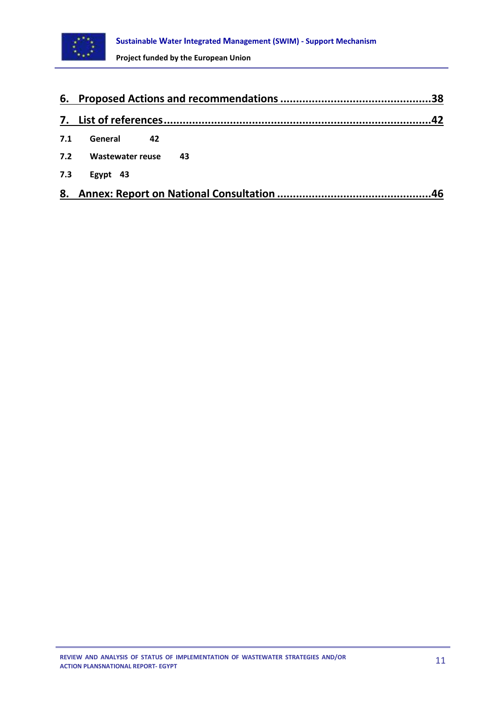

| 6.  |                  |     |
|-----|------------------|-----|
|     |                  |     |
| 7.1 | General<br>42    |     |
| 7.2 | Wastewater reuse | -43 |
| 7.3 | Egypt 43         |     |
| 8.  |                  | 46  |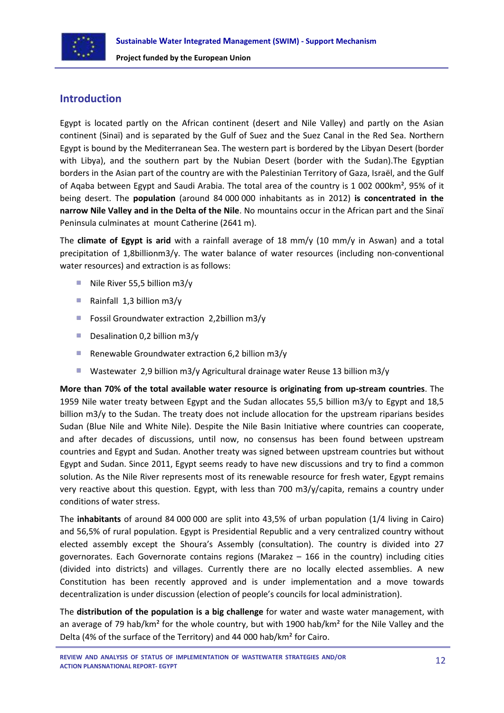

## <span id="page-11-0"></span>**Introduction**

Egypt is located partly on the African continent (desert and Nile Valley) and partly on the Asian continent (Sinaï) and is separated by the Gulf of Suez and the Suez Canal in the Red Sea. Northern Egypt is bound by the Mediterranean Sea. The western part is bordered by the Libyan Desert (border with Libya), and the southern part by the Nubian Desert (border with the Sudan).The Egyptian borders in the Asian part of the country are with the Palestinian Territory of Gaza, Israël, and the Gulf of Aqaba between Egypt and Saudi Arabia. The total area of the country is 1 002 000km², 95% of it being desert. The **population** (around 84 000 000 inhabitants as in 2012) **is concentrated in the narrow Nile Valley and in the Delta of the Nile**. No mountains occur in the African part and the Sinaï Peninsula culminates at mount Catherine (2641 m).

The **climate of Egypt is arid** with a rainfall average of 18 mm/y (10 mm/y in Aswan) and a total precipitation of 1,8billionm3/y. The water balance of water resources (including non-conventional water resources) and extraction is as follows:

- Nile River 55.5 billion  $m3/v$
- Rainfall  $1,3$  billion m3/y
- Fossil Groundwater extraction 2,2billion m3/y
- Desalination 0,2 billion  $m3/y$
- ×. Renewable Groundwater extraction 6,2 billion m3/y
- × Wastewater 2,9 billion m3/y Agricultural drainage water Reuse 13 billion m3/y

**More than 70% of the total available water resource is originating from up-stream countries**. The 1959 Nile water treaty between Egypt and the Sudan allocates 55,5 billion m3/y to Egypt and 18,5 billion m3/y to the Sudan. The treaty does not include allocation for the upstream riparians besides Sudan (Blue Nile and White Nile). Despite the Nile Basin Initiative where countries can cooperate, and after decades of discussions, until now, no consensus has been found between upstream countries and Egypt and Sudan. Another treaty was signed between upstream countries but without Egypt and Sudan. Since 2011, Egypt seems ready to have new discussions and try to find a common solution. As the Nile River represents most of its renewable resource for fresh water, Egypt remains very reactive about this question. Egypt, with less than 700 m3/y/capita, remains a country under conditions of water stress.

The **inhabitants** of around 84 000 000 are split into 43,5% of urban population (1/4 living in Cairo) and 56,5% of rural population. Egypt is Presidential Republic and a very centralized country without elected assembly except the Shoura's Assembly (consultation). The country is divided into 27 governorates. Each Governorate contains regions (Marakez – 166 in the country) including cities (divided into districts) and villages. Currently there are no locally elected assemblies. A new Constitution has been recently approved and is under implementation and a move towards decentralization is under discussion (election of people's councils for local administration).

The **distribution of the population is a big challenge** for water and waste water management, with an average of 79 hab/km<sup>2</sup> for the whole country, but with 1900 hab/km<sup>2</sup> for the Nile Valley and the Delta (4% of the surface of the Territory) and 44 000 hab/km² for Cairo.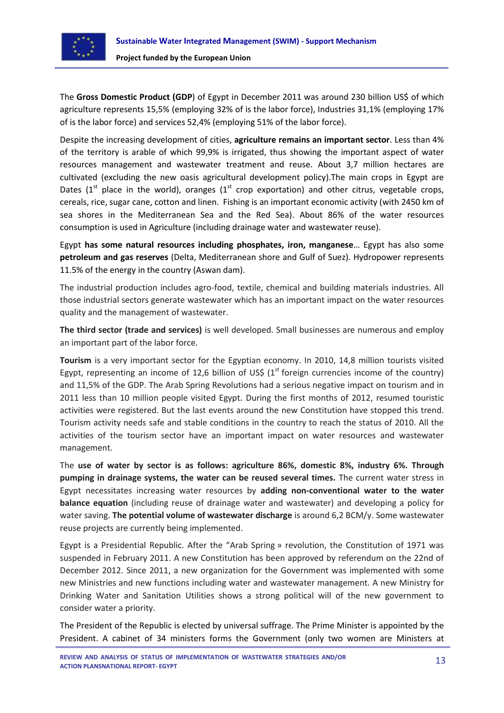

The **Gross Domestic Product (GDP**) of Egypt in December 2011 was around 230 billion US\$ of which agriculture represents 15,5% (employing 32% of is the labor force), Industries 31,1% (employing 17% of is the labor force) and services 52,4% (employing 51% of the labor force).

Despite the increasing development of cities, **agriculture remains an important sector**. Less than 4% of the territory is arable of which 99,9% is irrigated, thus showing the important aspect of water resources management and wastewater treatment and reuse. About 3,7 million hectares are cultivated (excluding the new oasis agricultural development policy).The main crops in Egypt are Dates ( $1<sup>st</sup>$  place in the world), oranges ( $1<sup>st</sup>$  crop exportation) and other citrus, vegetable crops, cereals, rice, sugar cane, cotton and linen. Fishing is an important economic activity (with 2450 km of sea shores in the Mediterranean Sea and the Red Sea). About 86% of the water resources consumption is used in Agriculture (including drainage water and wastewater reuse).

Egypt **has some natural resources including phosphates, iron, manganese**… Egypt has also some **petroleum and gas reserves** (Delta, Mediterranean shore and Gulf of Suez). Hydropower represents 11.5% of the energy in the country (Aswan dam).

The industrial production includes agro-food, textile, chemical and building materials industries. All those industrial sectors generate wastewater which has an important impact on the water resources quality and the management of wastewater.

**The third sector (trade and services)** is well developed. Small businesses are numerous and employ an important part of the labor force.

**Tourism** is a very important sector for the Egyptian economy. In 2010, 14,8 million tourists visited Egypt, representing an income of 12,6 billion of US\$ ( $1<sup>st</sup>$  foreign currencies income of the country) and 11,5% of the GDP. The Arab Spring Revolutions had a serious negative impact on tourism and in 2011 less than 10 million people visited Egypt. During the first months of 2012, resumed touristic activities were registered. But the last events around the new Constitution have stopped this trend. Tourism activity needs safe and stable conditions in the country to reach the status of 2010. All the activities of the tourism sector have an important impact on water resources and wastewater management.

The **use of water by sector is as follows: agriculture 86%, domestic 8%, industry 6%. Through pumping in drainage systems, the water can be reused several times.** The current water stress in Egypt necessitates increasing water resources by **adding non-conventional water to the water balance equation** (including reuse of drainage water and wastewater) and developing a policy for water saving. **The potential volume of wastewater discharge** is around 6,2 BCM/y. Some wastewater reuse projects are currently being implemented.

Egypt is a Presidential Republic. After the "Arab Spring » revolution, the Constitution of 1971 was suspended in February 2011. A new Constitution has been approved by referendum on the 22nd of December 2012. Since 2011, a new organization for the Government was implemented with some new Ministries and new functions including water and wastewater management. A new Ministry for Drinking Water and Sanitation Utilities shows a strong political will of the new government to consider water a priority.

The President of the Republic is elected by universal suffrage. The Prime Minister is appointed by the President. A cabinet of 34 ministers forms the Government (only two women are Ministers at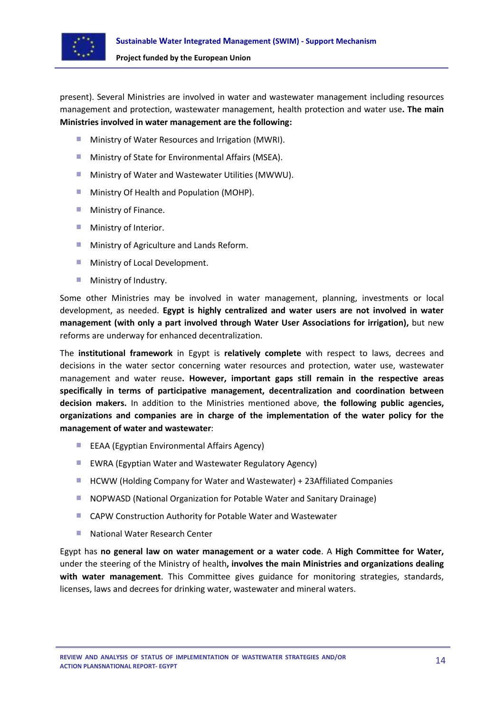

present). Several Ministries are involved in water and wastewater management including resources management and protection, wastewater management, health protection and water use**. The main Ministries involved in water management are the following:**

- m. Ministry of Water Resources and Irrigation (MWRI).
- **Ministry of State for Environmental Affairs (MSEA).**
- **Ministry of Water and Wastewater Utilities (MWWU).**
- **Ministry Of Health and Population (MOHP).**
- **Ministry of Finance.**
- **Ministry of Interior.**
- **Ministry of Agriculture and Lands Reform.**
- **Ministry of Local Development.**
- Ministry of Industry. **College**

Some other Ministries may be involved in water management, planning, investments or local development, as needed. **Egypt is highly centralized and water users are not involved in water management (with only a part involved through Water User Associations for irrigation),** but new reforms are underway for enhanced decentralization.

The **institutional framework** in Egypt is **relatively complete** with respect to laws, decrees and decisions in the water sector concerning water resources and protection, water use, wastewater management and water reuse**. However, important gaps still remain in the respective areas specifically in terms of participative management, decentralization and coordination between decision makers.** In addition to the Ministries mentioned above, **the following public agencies, organizations and companies are in charge of the implementation of the water policy for the management of water and wastewater**:

- **EXAM** EEAA (Egyptian Environmental Affairs Agency)
- **EWRA (Egyptian Water and Wastewater Regulatory Agency)**
- HCWW (Holding Company for Water and Wastewater) + 23Affiliated Companies
- **NOPWASD (National Organization for Potable Water and Sanitary Drainage)**
- CAPW Construction Authority for Potable Water and Wastewater
- National Water Research Center  $\mathbf{r}$

Egypt has **no general law on water management or a water code**. A **High Committee for Water,** under the steering of the Ministry of health**, involves the main Ministries and organizations dealing with water management**. This Committee gives guidance for monitoring strategies, standards, licenses, laws and decrees for drinking water, wastewater and mineral waters.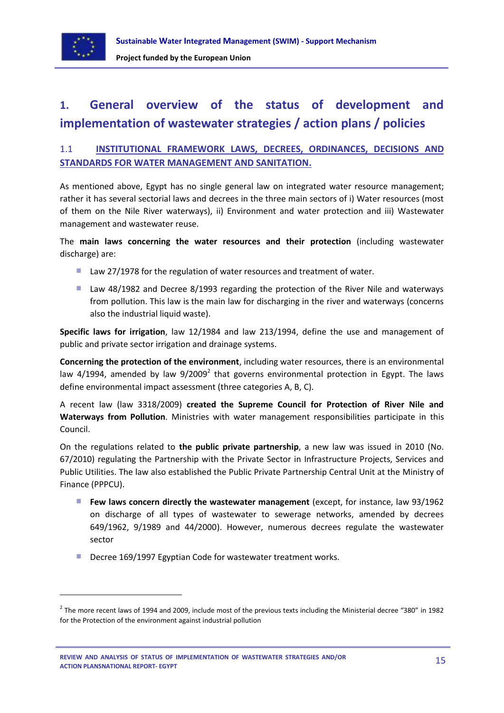

**.** 

## <span id="page-14-0"></span>**1. General overview of the status of development and implementation of wastewater strategies / action plans / policies**

## <span id="page-14-1"></span>1.1 **INSTITUTIONAL FRAMEWORK LAWS, DECREES, ORDINANCES, DECISIONS AND STANDARDS FOR WATER MANAGEMENT AND SANITATION.**

As mentioned above, Egypt has no single general law on integrated water resource management; rather it has several sectorial laws and decrees in the three main sectors of i) Water resources (most of them on the Nile River waterways), ii) Environment and water protection and iii) Wastewater management and wastewater reuse.

## The **main laws concerning the water resources and their protection** (including wastewater discharge) are:

- Law 27/1978 for the regulation of water resources and treatment of water.
- Law 48/1982 and Decree 8/1993 regarding the protection of the River Nile and waterways from pollution. This law is the main law for discharging in the river and waterways (concerns also the industrial liquid waste).

**Specific laws for irrigation**, law 12/1984 and law 213/1994, define the use and management of public and private sector irrigation and drainage systems.

**Concerning the protection of the environment**, including water resources, there is an environmental law 4/1994, amended by law  $9/2009^2$  that governs environmental protection in Egypt. The laws define environmental impact assessment (three categories A, B, C).

A recent law (law 3318/2009) **created the Supreme Council for Protection of River Nile and Waterways from Pollution**. Ministries with water management responsibilities participate in this Council.

On the regulations related to **the public private partnership**, a new law was issued in 2010 (No. 67/2010) regulating the Partnership with the Private Sector in Infrastructure Projects, Services and Public Utilities. The law also established the Public Private Partnership Central Unit at the Ministry of Finance (PPPCU).

- **Few laws concern directly the wastewater management** (except, for instance, law 93/1962) on discharge of all types of wastewater to sewerage networks, amended by decrees 649/1962, 9/1989 and 44/2000). However, numerous decrees regulate the wastewater sector
- Decree 169/1997 Egyptian Code for wastewater treatment works.

 $^2$  The more recent laws of 1994 and 2009, include most of the previous texts including the Ministerial decree "380" in 1982 for the Protection of the environment against industrial pollution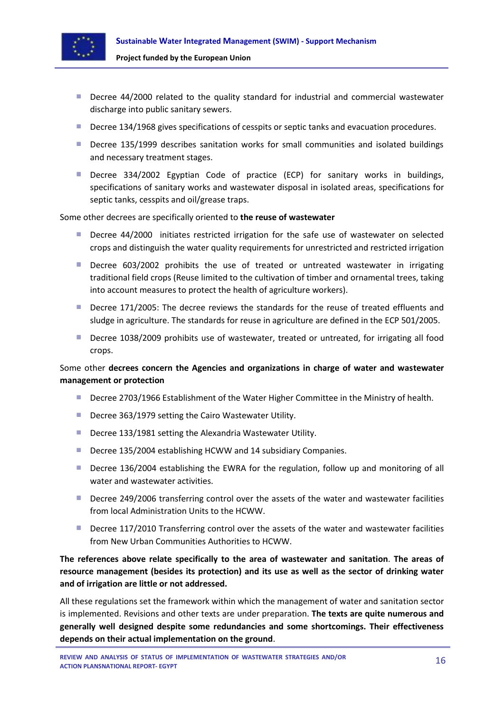

- **Decree 44/2000 related to the quality standard for industrial and commercial wastewater** discharge into public sanitary sewers.
- Decree 134/1968 gives specifications of cesspits or septic tanks and evacuation procedures.
- **Decree 135/1999 describes sanitation works for small communities and isolated buildings** and necessary treatment stages.
- **Decree 334/2002 Egyptian Code of practice (ECP) for sanitary works in buildings,** specifications of sanitary works and wastewater disposal in isolated areas, specifications for septic tanks, cesspits and oil/grease traps.

Some other decrees are specifically oriented to **the reuse of wastewater**

- **Decree 44/2000** initiates restricted irrigation for the safe use of wastewater on selected crops and distinguish the water quality requirements for unrestricted and restricted irrigation
- Decree 603/2002 prohibits the use of treated or untreated wastewater in irrigating traditional field crops (Reuse limited to the cultivation of timber and ornamental trees, taking into account measures to protect the health of agriculture workers).
- **Decree 171/2005: The decree reviews the standards for the reuse of treated effluents and** sludge in agriculture. The standards for reuse in agriculture are defined in the ECP 501/2005.
- Decree 1038/2009 prohibits use of wastewater, treated or untreated, for irrigating all food crops.

## Some other **decrees concern the Agencies and organizations in charge of water and wastewater management or protection**

- **Decree 2703/1966 Establishment of the Water Higher Committee in the Ministry of health.**
- Decree 363/1979 setting the Cairo Wastewater Utility.
- Decree 133/1981 setting the Alexandria Wastewater Utility.
- Decree 135/2004 establishing HCWW and 14 subsidiary Companies.
- **Decree 136/2004 establishing the EWRA for the regulation, follow up and monitoring of all** water and wastewater activities.
- **Decree 249/2006 transferring control over the assets of the water and wastewater facilities** from local Administration Units to the HCWW.
- **Decree 117/2010 Transferring control over the assets of the water and wastewater facilities** from New Urban Communities Authorities to HCWW.

## **The references above relate specifically to the area of wastewater and sanitation**. **The areas of resource management (besides its protection) and its use as well as the sector of drinking water and of irrigation are little or not addressed.**

All these regulations set the framework within which the management of water and sanitation sector is implemented. Revisions and other texts are under preparation. **The texts are quite numerous and generally well designed despite some redundancies and some shortcomings. Their effectiveness depends on their actual implementation on the ground**.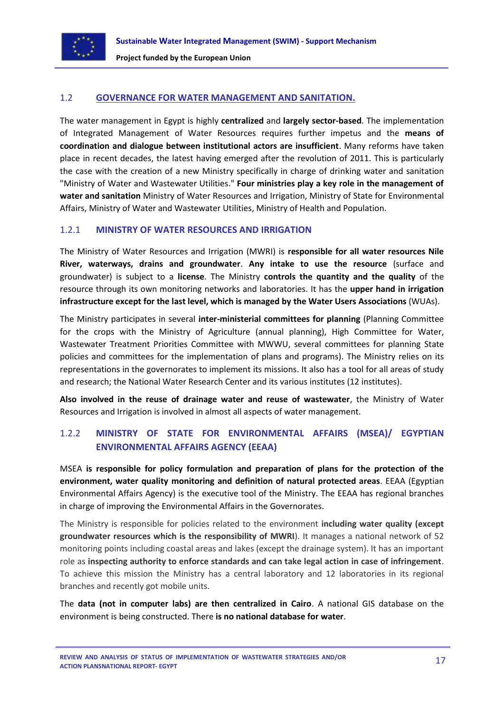

#### <span id="page-16-0"></span>1.2 **GOVERNANCE FOR WATER MANAGEMENT AND SANITATION.**

The water management in Egypt is highly **centralized** and **largely sector-based**. The implementation of Integrated Management of Water Resources requires further impetus and the **means of coordination and dialogue between institutional actors are insufficient**. Many reforms have taken place in recent decades, the latest having emerged after the revolution of 2011. This is particularly the case with the creation of a new Ministry specifically in charge of drinking water and sanitation "Ministry of Water and Wastewater Utilities." **Four ministries play a key role in the management of water and sanitation** Ministry of Water Resources and Irrigation, Ministry of State for Environmental Affairs, Ministry of Water and Wastewater Utilities, Ministry of Health and Population.

#### <span id="page-16-1"></span>1.2.1 **MINISTRY OF WATER RESOURCES AND IRRIGATION**

The Ministry of Water Resources and Irrigation (MWRI) is **responsible for all water resources Nile River, waterways, drains and groundwater**. **Any intake to use the resource** (surface and groundwater) is subject to a **license**. The Ministry **controls the quantity and the quality** of the resource through its own monitoring networks and laboratories. It has the **upper hand in irrigation infrastructure except for the last level, which is managed by the Water Users Associations** (WUAs).

The Ministry participates in several **inter-ministerial committees for planning** (Planning Committee for the crops with the Ministry of Agriculture (annual planning), High Committee for Water, Wastewater Treatment Priorities Committee with MWWU, several committees for planning State policies and committees for the implementation of plans and programs). The Ministry relies on its representations in the governorates to implement its missions. It also has a tool for all areas of study and research; the National Water Research Center and its various institutes (12 institutes).

**Also involved in the reuse of drainage water and reuse of wastewater**, the Ministry of Water Resources and Irrigation is involved in almost all aspects of water management.

## <span id="page-16-2"></span>1.2.2 **MINISTRY OF STATE FOR ENVIRONMENTAL AFFAIRS (MSEA)/ EGYPTIAN ENVIRONMENTAL AFFAIRS AGENCY (EEAA)**

MSEA **is responsible for policy formulation and preparation of plans for the protection of the environment, water quality monitoring and definition of natural protected areas**. EEAA (Egyptian Environmental Affairs Agency) is the executive tool of the Ministry. The EEAA has regional branches in charge of improving the Environmental Affairs in the Governorates.

The Ministry is responsible for policies related to the environment **including water quality (except groundwater resources which is the responsibility of MWRI**). It manages a national network of 52 monitoring points including coastal areas and lakes (except the drainage system). It has an important role as **inspecting authority to enforce standards and can take legal action in case of infringement**. To achieve this mission the Ministry has a central laboratory and 12 laboratories in its regional branches and recently got mobile units.

The **data (not in computer labs) are then centralized in Cairo**. A national GIS database on the environment is being constructed. There **is no national database for water**.

**REVIEW AND ANALYSIS OF STATUS OF IMPLEMENTATION OF WASTEWATER STRATEGIES AND/OR ACTION PLANSNATIONAL REPORT- EGYPT**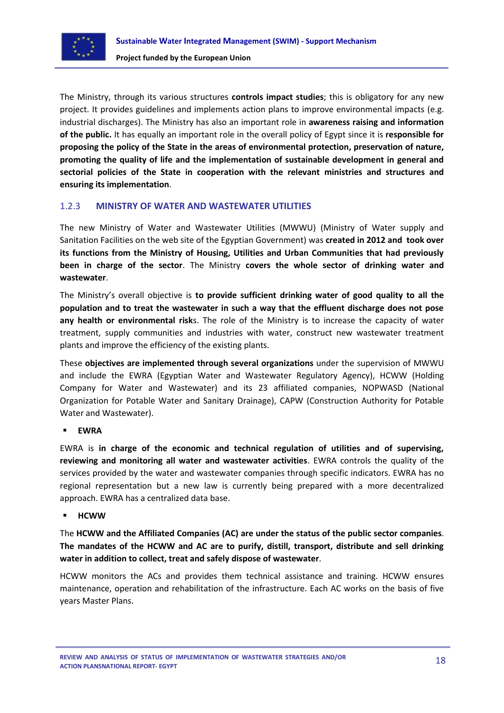

The Ministry, through its various structures **controls impact studies**; this is obligatory for any new project. It provides guidelines and implements action plans to improve environmental impacts (e.g. industrial discharges). The Ministry has also an important role in **awareness raising and information of the public.** It has equally an important role in the overall policy of Egypt since it is **responsible for proposing the policy of the State in the areas of environmental protection, preservation of nature, promoting the quality of life and the implementation of sustainable development in general and sectorial policies of the State in cooperation with the relevant ministries and structures and ensuring its implementation**.

## <span id="page-17-0"></span>1.2.3 **MINISTRY OF WATER AND WASTEWATER UTILITIES**

The new Ministry of Water and Wastewater Utilities (MWWU) (Ministry of Water supply and Sanitation Facilities on the web site of the Egyptian Government) was **created in 2012 and took over its functions from the Ministry of Housing, Utilities and Urban Communities that had previously been in charge of the sector**. The Ministry **covers the whole sector of drinking water and wastewater**.

The Ministry's overall objective is **to provide sufficient drinking water of good quality to all the population and to treat the wastewater in such a way that the effluent discharge does not pose any health or environmental risk**s. The role of the Ministry is to increase the capacity of water treatment, supply communities and industries with water, construct new wastewater treatment plants and improve the efficiency of the existing plants.

These **objectives are implemented through several organizations** under the supervision of MWWU and include the EWRA (Egyptian Water and Wastewater Regulatory Agency), HCWW (Holding Company for Water and Wastewater) and its 23 affiliated companies, NOPWASD (National Organization for Potable Water and Sanitary Drainage), CAPW (Construction Authority for Potable Water and Wastewater).

## **EWRA**

EWRA is **in charge of the economic and technical regulation of utilities and of supervising, reviewing and monitoring all water and wastewater activities**. EWRA controls the quality of the services provided by the water and wastewater companies through specific indicators. EWRA has no regional representation but a new law is currently being prepared with a more decentralized approach. EWRA has a centralized data base.

## **HCWW**

The **HCWW and the Affiliated Companies (AC) are under the status of the public sector companies**. **The mandates of the HCWW and AC are to purify, distill, transport, distribute and sell drinking water in addition to collect, treat and safely dispose of wastewater**.

HCWW monitors the ACs and provides them technical assistance and training. HCWW ensures maintenance, operation and rehabilitation of the infrastructure. Each AC works on the basis of five years Master Plans.

**REVIEW AND ANALYSIS OF STATUS OF IMPLEMENTATION OF WASTEWATER STRATEGIES AND/OR ACTION PLANSNATIONAL REPORT- EGYPT**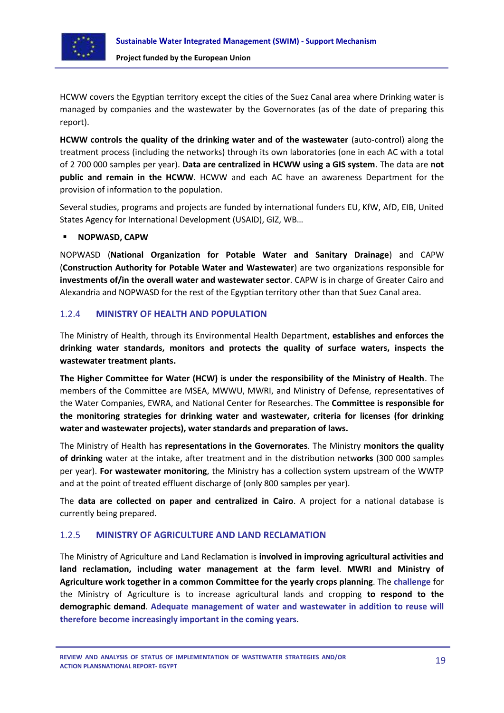

HCWW covers the Egyptian territory except the cities of the Suez Canal area where Drinking water is managed by companies and the wastewater by the Governorates (as of the date of preparing this report).

**HCWW controls the quality of the drinking water and of the wastewater** (auto-control) along the treatment process (including the networks) through its own laboratories (one in each AC with a total of 2 700 000 samples per year). **Data are centralized in HCWW using a GIS system**. The data are **not public and remain in the HCWW**. HCWW and each AC have an awareness Department for the provision of information to the population.

Several studies, programs and projects are funded by international funders EU, KfW, AfD, EIB, United States Agency for International Development (USAID), GIZ, WB…

#### **NOPWASD, CAPW**

NOPWASD (**National Organization for Potable Water and Sanitary Drainage**) and CAPW (**Construction Authority for Potable Water and Wastewater**) are two organizations responsible for **investments of/in the overall water and wastewater sector**. CAPW is in charge of Greater Cairo and Alexandria and NOPWASD for the rest of the Egyptian territory other than that Suez Canal area.

## <span id="page-18-0"></span>1.2.4 **MINISTRY OF HEALTH AND POPULATION**

The Ministry of Health, through its Environmental Health Department, **establishes and enforces the drinking water standards, monitors and protects the quality of surface waters, inspects the wastewater treatment plants.**

**The Higher Committee for Water (HCW) is under the responsibility of the Ministry of Health**. The members of the Committee are MSEA, MWWU, MWRI, and Ministry of Defense, representatives of the Water Companies, EWRA, and National Center for Researches. The **Committee is responsible for the monitoring strategies for drinking water and wastewater, criteria for licenses (for drinking water and wastewater projects), water standards and preparation of laws.**

The Ministry of Health has **representations in the Governorates**. The Ministry **monitors the quality of drinking** water at the intake, after treatment and in the distribution netw**orks** (300 000 samples per year). **For wastewater monitoring**, the Ministry has a collection system upstream of the WWTP and at the point of treated effluent discharge of (only 800 samples per year).

The **data are collected on paper and centralized in Cairo**. A project for a national database is currently being prepared.

## <span id="page-18-1"></span>1.2.5 **MINISTRY OF AGRICULTURE AND LAND RECLAMATION**

The Ministry of Agriculture and Land Reclamation is **involved in improving agricultural activities and land reclamation, including water management at the farm level**. **MWRI and Ministry of Agriculture work together in a common Committee for the yearly crops planning**. The **challenge** for the Ministry of Agriculture is to increase agricultural lands and cropping **to respond to the demographic demand**. **Adequate management of water and wastewater in addition to reuse will therefore become increasingly important in the coming years**.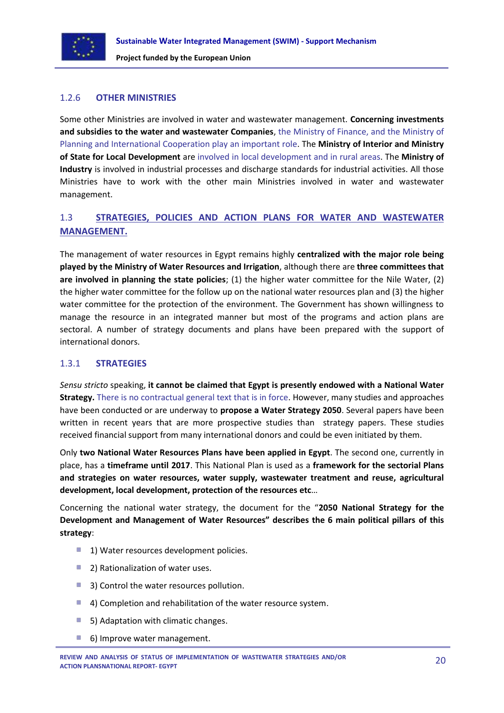

## <span id="page-19-0"></span>1.2.6 **OTHER MINISTRIES**

Some other Ministries are involved in water and wastewater management. **Concerning investments and subsidies to the water and wastewater Companies**, the Ministry of Finance, and the Ministry of Planning and International Cooperation play an important role. The **Ministry of Interior and Ministry of State for Local Development** are involved in local development and in rural areas. The **Ministry of Industry** is involved in industrial processes and discharge standards for industrial activities. All those Ministries have to work with the other main Ministries involved in water and wastewater management.

## <span id="page-19-1"></span>1.3 **STRATEGIES, POLICIES AND ACTION PLANS FOR WATER AND WASTEWATER MANAGEMENT.**

The management of water resources in Egypt remains highly **centralized with the major role being played by the Ministry of Water Resources and Irrigation**, although there are **three committees that are involved in planning the state policies**; (1) the higher water committee for the Nile Water, (2) the higher water committee for the follow up on the national water resources plan and (3) the higher water committee for the protection of the environment. The Government has shown willingness to manage the resource in an integrated manner but most of the programs and action plans are sectoral. A number of strategy documents and plans have been prepared with the support of international donors.

## <span id="page-19-2"></span>1.3.1 **STRATEGIES**

*Sensu stricto* speaking, **it cannot be claimed that Egypt is presently endowed with a National Water Strategy.** There is no contractual general text that is in force. However, many studies and approaches have been conducted or are underway to **propose a Water Strategy 2050**. Several papers have been written in recent years that are more prospective studies than strategy papers. These studies received financial support from many international donors and could be even initiated by them.

Only **two National Water Resources Plans have been applied in Egypt**. The second one, currently in place, has a **timeframe until 2017**. This National Plan is used as a **framework for the sectorial Plans and strategies on water resources, water supply, wastewater treatment and reuse, agricultural development, local development, protection of the resources etc**…

Concerning the national water strategy, the document for the "**2050 National Strategy for the Development and Management of Water Resources" describes the 6 main political pillars of this strategy**:

- **1) Water resources development policies.**
- 2) Rationalization of water uses.
- 3) Control the water resources pollution.
- 4) Completion and rehabilitation of the water resource system.
- 5) Adaptation with climatic changes.
- 6) Improve water management.**College**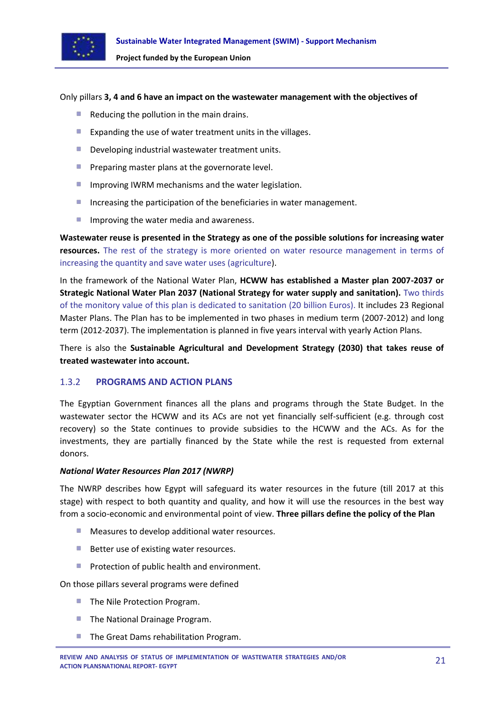

#### Only pillars **3, 4 and 6 have an impact on the wastewater management with the objectives of**

- Reducing the pollution in the main drains.
- Expanding the use of water treatment units in the villages.
- **Developing industrial wastewater treatment units.**
- **Preparing master plans at the governorate level.**
- **I** Improving IWRM mechanisms and the water legislation.
- Increasing the participation of the beneficiaries in water management.
- $\mathcal{L}_{\mathcal{A}}$ Improving the water media and awareness.

**Wastewater reuse is presented in the Strategy as one of the possible solutions for increasing water resources.** The rest of the strategy is more oriented on water resource management in terms of increasing the quantity and save water uses (agriculture).

In the framework of the National Water Plan, **HCWW has established a Master plan 2007-2037 or Strategic National Water Plan 2037 (National Strategy for water supply and sanitation).** Two thirds of the monitory value of this plan is dedicated to sanitation (20 billion Euros). It includes 23 Regional Master Plans. The Plan has to be implemented in two phases in medium term (2007-2012) and long term (2012-2037). The implementation is planned in five years interval with yearly Action Plans.

There is also the **Sustainable Agricultural and Development Strategy (2030) that takes reuse of treated wastewater into account.**

#### <span id="page-20-0"></span>1.3.2 **PROGRAMS AND ACTION PLANS**

The Egyptian Government finances all the plans and programs through the State Budget. In the wastewater sector the HCWW and its ACs are not yet financially self-sufficient (e.g. through cost recovery) so the State continues to provide subsidies to the HCWW and the ACs. As for the investments, they are partially financed by the State while the rest is requested from external donors.

#### *National Water Resources Plan 2017 (NWRP)*

The NWRP describes how Egypt will safeguard its water resources in the future (till 2017 at this stage) with respect to both quantity and quality, and how it will use the resources in the best way from a socio-economic and environmental point of view. **Three pillars define the policy of the Plan**

- **Measures to develop additional water resources.**
- Better use of existing water resources.
- **Protection of public health and environment.**

On those pillars several programs were defined

- **The Nile Protection Program.**
- **The National Drainage Program.**
- The Great Dams rehabilitation Program.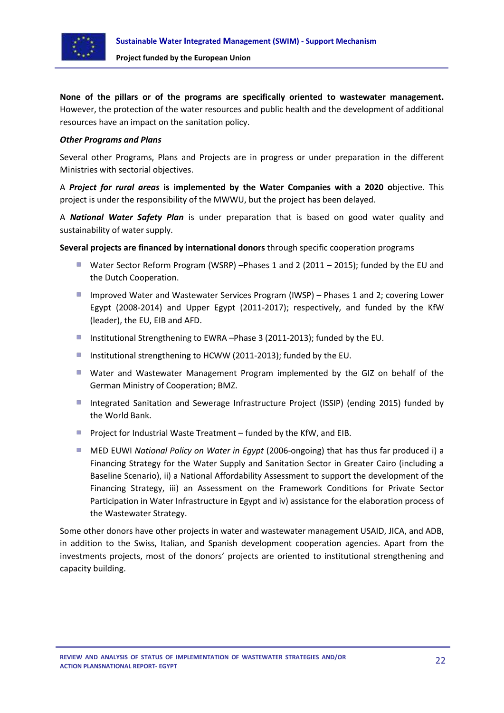

**None of the pillars or of the programs are specifically oriented to wastewater management.** However, the protection of the water resources and public health and the development of additional resources have an impact on the sanitation policy.

#### *Other Programs and Plans*

Several other Programs, Plans and Projects are in progress or under preparation in the different Ministries with sectorial objectives.

A *Project for rural areas* **is implemented by the Water Companies with a 2020 o**bjective. This project is under the responsibility of the MWWU, but the project has been delayed.

A *National Water Safety Plan* is under preparation that is based on good water quality and sustainability of water supply.

**Several projects are financed by international donors** through specific cooperation programs

- Water Sector Reform Program (WSRP) –Phases 1 and 2 (2011 2015); funded by the EU and the Dutch Cooperation.
- Improved Water and Wastewater Services Program (IWSP) Phases 1 and 2; covering Lower Egypt (2008-2014) and Upper Egypt (2011-2017); respectively, and funded by the KfW (leader), the EU, EIB and AFD.
- Institutional Strengthening to EWRA –Phase 3 (2011-2013); funded by the EU.
- **Institutional strengthening to HCWW (2011-2013); funded by the EU.**
- Water and Wastewater Management Program implemented by the GIZ on behalf of the German Ministry of Cooperation; BMZ.
- Integrated Sanitation and Sewerage Infrastructure Project (ISSIP) (ending 2015) funded by the World Bank.
- **Project for Industrial Waste Treatment funded by the KfW, and EIB.**
- MED EUWI *National Policy on Water in Egypt* (2006-ongoing) that has thus far produced i) a Financing Strategy for the Water Supply and Sanitation Sector in Greater Cairo (including a Baseline Scenario), ii) a National Affordability Assessment to support the development of the Financing Strategy, iii) an Assessment on the Framework Conditions for Private Sector Participation in Water Infrastructure in Egypt and iv) assistance for the elaboration process of the Wastewater Strategy.

Some other donors have other projects in water and wastewater management USAID, JICA, and ADB, in addition to the Swiss, Italian, and Spanish development cooperation agencies. Apart from the investments projects, most of the donors' projects are oriented to institutional strengthening and capacity building.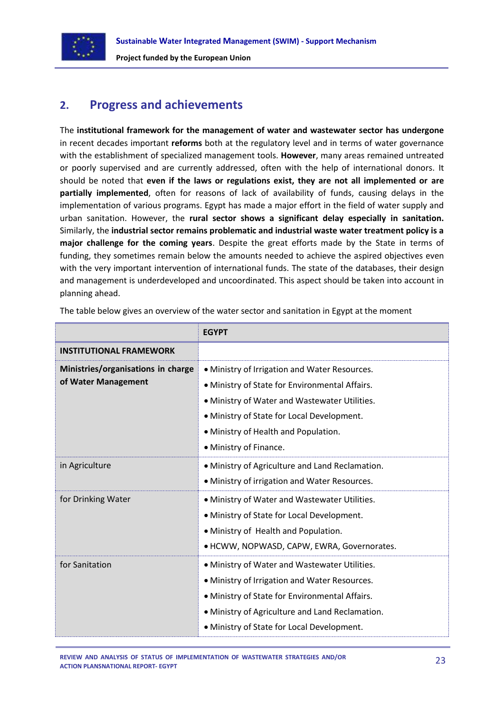

## <span id="page-22-0"></span>**2. Progress and achievements**

The **institutional framework for the management of water and wastewater sector has undergone** in recent decades important **reforms** both at the regulatory level and in terms of water governance with the establishment of specialized management tools. **However**, many areas remained untreated or poorly supervised and are currently addressed, often with the help of international donors. It should be noted that **even if the laws or regulations exist, they are not all implemented or are partially implemented**, often for reasons of lack of availability of funds, causing delays in the implementation of various programs. Egypt has made a major effort in the field of water supply and urban sanitation. However, the **rural sector shows a significant delay especially in sanitation.** Similarly, the **industrial sector remains problematic and industrial waste water treatment policy is a major challenge for the coming years**. Despite the great efforts made by the State in terms of funding, they sometimes remain below the amounts needed to achieve the aspired objectives even with the very important intervention of international funds. The state of the databases, their design and management is underdeveloped and uncoordinated. This aspect should be taken into account in planning ahead.

|                                                           | <b>EGYPT</b>                                                                                                                                                                                                                                                     |
|-----------------------------------------------------------|------------------------------------------------------------------------------------------------------------------------------------------------------------------------------------------------------------------------------------------------------------------|
| <b>INSTITUTIONAL FRAMEWORK</b>                            |                                                                                                                                                                                                                                                                  |
| Ministries/organisations in charge<br>of Water Management | • Ministry of Irrigation and Water Resources.<br>• Ministry of State for Environmental Affairs.<br>. Ministry of Water and Wastewater Utilities.<br>• Ministry of State for Local Development.<br>• Ministry of Health and Population.<br>• Ministry of Finance. |
| in Agriculture                                            | • Ministry of Agriculture and Land Reclamation.<br>• Ministry of irrigation and Water Resources.                                                                                                                                                                 |
| for Drinking Water                                        | . Ministry of Water and Wastewater Utilities.<br>• Ministry of State for Local Development.<br>• Ministry of Health and Population.<br>· HCWW, NOPWASD, CAPW, EWRA, Governorates.                                                                                |
| for Sanitation                                            | · Ministry of Water and Wastewater Utilities.<br>• Ministry of Irrigation and Water Resources.<br>• Ministry of State for Environmental Affairs.<br>• Ministry of Agriculture and Land Reclamation.<br>• Ministry of State for Local Development.                |

The table below gives an overview of the water sector and sanitation in Egypt at the moment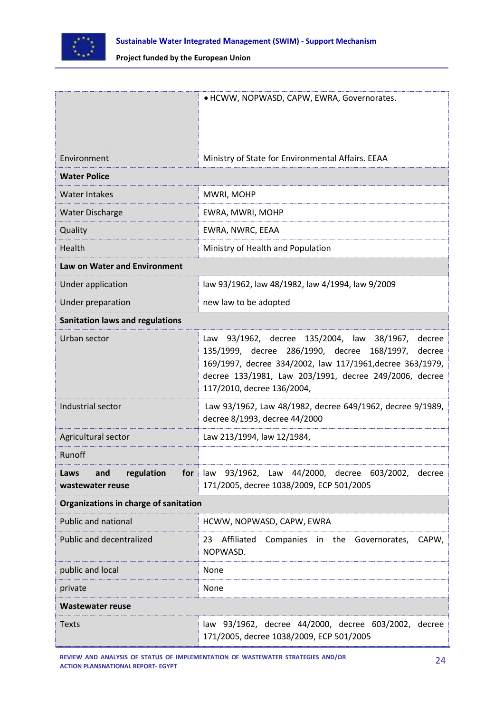

|                                                      | · HCWW, NOPWASD, CAPW, EWRA, Governorates.                                                                                                                                                                                                                      |
|------------------------------------------------------|-----------------------------------------------------------------------------------------------------------------------------------------------------------------------------------------------------------------------------------------------------------------|
| Environment                                          | Ministry of State for Environmental Affairs. EEAA                                                                                                                                                                                                               |
| <b>Water Police</b>                                  |                                                                                                                                                                                                                                                                 |
| Water Intakes                                        | MWRI, MOHP                                                                                                                                                                                                                                                      |
| <b>Water Discharge</b>                               | EWRA, MWRI, MOHP                                                                                                                                                                                                                                                |
| Quality                                              | EWRA, NWRC, EEAA                                                                                                                                                                                                                                                |
| Health                                               | Ministry of Health and Population                                                                                                                                                                                                                               |
| <b>Law on Water and Environment</b>                  |                                                                                                                                                                                                                                                                 |
| Under application                                    | law 93/1962, law 48/1982, law 4/1994, law 9/2009                                                                                                                                                                                                                |
| Under preparation                                    | new law to be adopted                                                                                                                                                                                                                                           |
| <b>Sanitation laws and regulations</b>               |                                                                                                                                                                                                                                                                 |
| Urban sector                                         | 93/1962, decree 135/2004, law 38/1967, decree<br>Law<br>135/1999, decree 286/1990, decree 168/1997, decree<br>169/1997, decree 334/2002, law 117/1961, decree 363/1979,<br>decree 133/1981, Law 203/1991, decree 249/2006, decree<br>117/2010, decree 136/2004, |
| Industrial sector                                    | Law 93/1962, Law 48/1982, decree 649/1962, decree 9/1989,<br>decree 8/1993, decree 44/2000                                                                                                                                                                      |
| Agricultural sector                                  | Law 213/1994, law 12/1984,                                                                                                                                                                                                                                      |
| Runoff                                               |                                                                                                                                                                                                                                                                 |
| regulation<br>Laws<br>and<br>for<br>wastewater reuse | law 93/1962, Law 44/2000, decree 603/2002, decree<br>171/2005, decree 1038/2009, ECP 501/2005                                                                                                                                                                   |
| Organizations in charge of sanitation                |                                                                                                                                                                                                                                                                 |
| <b>Public and national</b>                           | HCWW, NOPWASD, CAPW, EWRA                                                                                                                                                                                                                                       |
| Public and decentralized                             | Affiliated<br>23<br>Companies in the Governorates,<br>CAPW,<br>NOPWASD.                                                                                                                                                                                         |
| public and local                                     | None                                                                                                                                                                                                                                                            |
| private                                              | None                                                                                                                                                                                                                                                            |
| <b>Wastewater reuse</b>                              |                                                                                                                                                                                                                                                                 |
| <b>Texts</b>                                         | law 93/1962, decree 44/2000, decree 603/2002, decree<br>171/2005, decree 1038/2009, ECP 501/2005                                                                                                                                                                |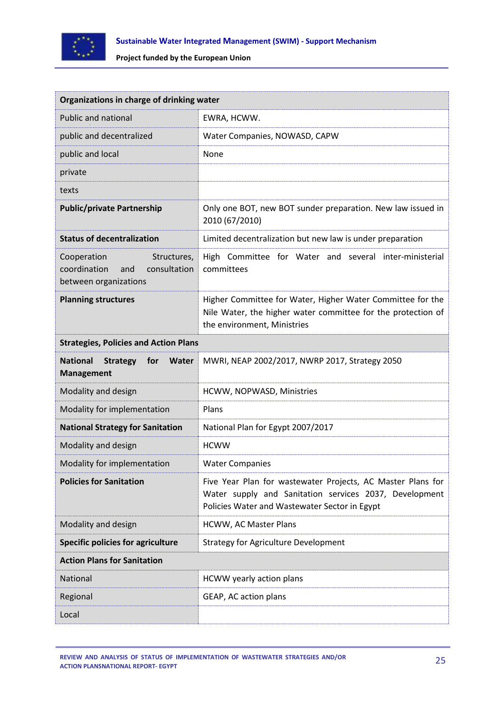

|                                                                                            | Organizations in charge of drinking water                                                                                                                              |  |  |
|--------------------------------------------------------------------------------------------|------------------------------------------------------------------------------------------------------------------------------------------------------------------------|--|--|
| Public and national                                                                        | EWRA, HCWW.                                                                                                                                                            |  |  |
| public and decentralized                                                                   | Water Companies, NOWASD, CAPW                                                                                                                                          |  |  |
| public and local                                                                           | None                                                                                                                                                                   |  |  |
| private                                                                                    |                                                                                                                                                                        |  |  |
| texts                                                                                      |                                                                                                                                                                        |  |  |
| <b>Public/private Partnership</b>                                                          | Only one BOT, new BOT sunder preparation. New law issued in<br>2010 (67/2010)                                                                                          |  |  |
| <b>Status of decentralization</b>                                                          | Limited decentralization but new law is under preparation                                                                                                              |  |  |
| Cooperation<br>Structures,<br>coordination<br>consultation<br>and<br>between organizations | High Committee for Water and several inter-ministerial<br>committees                                                                                                   |  |  |
| <b>Planning structures</b>                                                                 | Higher Committee for Water, Higher Water Committee for the<br>Nile Water, the higher water committee for the protection of<br>the environment, Ministries              |  |  |
| <b>Strategies, Policies and Action Plans</b>                                               |                                                                                                                                                                        |  |  |
|                                                                                            |                                                                                                                                                                        |  |  |
| <b>National</b><br><b>Strategy</b><br>for<br><b>Water</b><br><b>Management</b>             | MWRI, NEAP 2002/2017, NWRP 2017, Strategy 2050                                                                                                                         |  |  |
| Modality and design                                                                        | HCWW, NOPWASD, Ministries                                                                                                                                              |  |  |
| Modality for implementation                                                                | Plans                                                                                                                                                                  |  |  |
| <b>National Strategy for Sanitation</b>                                                    | National Plan for Egypt 2007/2017                                                                                                                                      |  |  |
| Modality and design                                                                        | <b>HCWW</b>                                                                                                                                                            |  |  |
| Modality for implementation                                                                | <b>Water Companies</b>                                                                                                                                                 |  |  |
| <b>Policies for Sanitation</b>                                                             | Five Year Plan for wastewater Projects, AC Master Plans for<br>Water supply and Sanitation services 2037, Development<br>Policies Water and Wastewater Sector in Egypt |  |  |
| Modality and design                                                                        | HCWW, AC Master Plans                                                                                                                                                  |  |  |
| <b>Specific policies for agriculture</b>                                                   | <b>Strategy for Agriculture Development</b>                                                                                                                            |  |  |
| <b>Action Plans for Sanitation</b>                                                         |                                                                                                                                                                        |  |  |
| National                                                                                   | HCWW yearly action plans                                                                                                                                               |  |  |
| Regional                                                                                   | GEAP, AC action plans                                                                                                                                                  |  |  |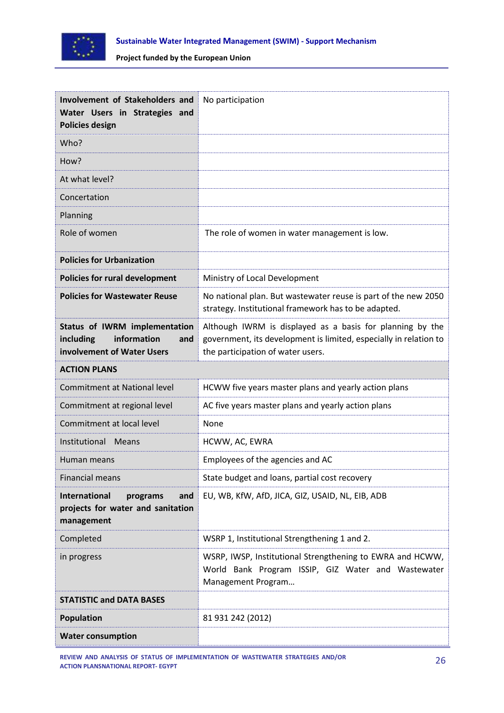

| Involvement of Stakeholders and                                                                |                                                                                                                                                                     |
|------------------------------------------------------------------------------------------------|---------------------------------------------------------------------------------------------------------------------------------------------------------------------|
| Water Users in Strategies and<br><b>Policies design</b>                                        | No participation                                                                                                                                                    |
| Who?                                                                                           |                                                                                                                                                                     |
| How?                                                                                           |                                                                                                                                                                     |
| At what level?                                                                                 |                                                                                                                                                                     |
| Concertation                                                                                   |                                                                                                                                                                     |
| Planning                                                                                       |                                                                                                                                                                     |
| Role of women                                                                                  | The role of women in water management is low.                                                                                                                       |
| <b>Policies for Urbanization</b>                                                               |                                                                                                                                                                     |
| <b>Policies for rural development</b>                                                          | Ministry of Local Development                                                                                                                                       |
| <b>Policies for Wastewater Reuse</b>                                                           | No national plan. But wastewater reuse is part of the new 2050<br>strategy. Institutional framework has to be adapted.                                              |
| Status of IWRM implementation<br>information<br>including<br>and<br>involvement of Water Users | Although IWRM is displayed as a basis for planning by the<br>government, its development is limited, especially in relation to<br>the participation of water users. |
| <b>ACTION PLANS</b>                                                                            |                                                                                                                                                                     |
| <b>Commitment at National level</b>                                                            | HCWW five years master plans and yearly action plans                                                                                                                |
| Commitment at regional level                                                                   | AC five years master plans and yearly action plans                                                                                                                  |
| Commitment at local level                                                                      | None                                                                                                                                                                |
| Institutional Means                                                                            | HCWW, AC, EWRA                                                                                                                                                      |
| Human means                                                                                    | Employees of the agencies and AC                                                                                                                                    |
| <b>Financial means</b>                                                                         | State budget and loans, partial cost recovery                                                                                                                       |
| <b>International</b><br>programs<br>and<br>projects for water and sanitation<br>management     | EU, WB, KfW, AfD, JICA, GIZ, USAID, NL, EIB, ADB                                                                                                                    |
| Completed                                                                                      | WSRP 1, Institutional Strengthening 1 and 2.                                                                                                                        |
| in progress                                                                                    | WSRP, IWSP, Institutional Strengthening to EWRA and HCWW,<br>World Bank Program ISSIP, GIZ Water and Wastewater<br>Management Program                               |
| <b>STATISTIC and DATA BASES</b>                                                                |                                                                                                                                                                     |
| <b>Population</b>                                                                              | 81 931 242 (2012)                                                                                                                                                   |
| <b>Water consumption</b>                                                                       |                                                                                                                                                                     |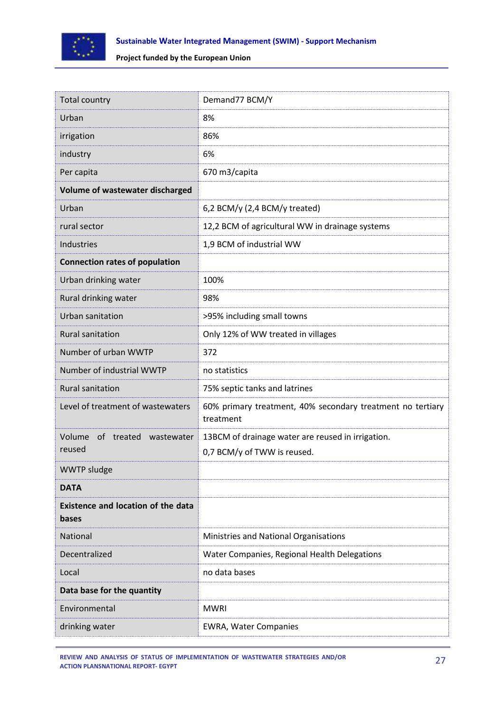

| <b>Total country</b>                               | Demand77 BCM/Y                                                                   |
|----------------------------------------------------|----------------------------------------------------------------------------------|
| Urban                                              | 8%                                                                               |
| irrigation                                         | 86%                                                                              |
| industry                                           | 6%                                                                               |
| Per capita                                         | 670 m3/capita                                                                    |
| Volume of wastewater discharged                    |                                                                                  |
| Urban                                              | 6,2 BCM/y (2,4 BCM/y treated)                                                    |
| rural sector                                       | 12,2 BCM of agricultural WW in drainage systems                                  |
| Industries                                         | 1,9 BCM of industrial WW                                                         |
| <b>Connection rates of population</b>              |                                                                                  |
| Urban drinking water                               | 100%                                                                             |
| Rural drinking water                               | 98%                                                                              |
| Urban sanitation                                   | >95% including small towns                                                       |
| <b>Rural sanitation</b>                            | Only 12% of WW treated in villages                                               |
| Number of urban WWTP                               | 372                                                                              |
| Number of industrial WWTP                          | no statistics                                                                    |
| <b>Rural sanitation</b>                            | 75% septic tanks and latrines                                                    |
| Level of treatment of wastewaters                  | 60% primary treatment, 40% secondary treatment no tertiary<br>treatment          |
| Volume of treated wastewater<br>reused             | 13BCM of drainage water are reused in irrigation.<br>0,7 BCM/y of TWW is reused. |
| <b>WWTP sludge</b>                                 |                                                                                  |
| <b>DATA</b>                                        |                                                                                  |
| <b>Existence and location of the data</b><br>bases |                                                                                  |
| National                                           | Ministries and National Organisations                                            |
| Decentralized                                      | Water Companies, Regional Health Delegations                                     |
| Local                                              | no data bases                                                                    |
| Data base for the quantity                         |                                                                                  |
| Environmental                                      | <b>MWRI</b>                                                                      |
| drinking water                                     | <b>EWRA, Water Companies</b>                                                     |

**REVIEW AND ANALYSIS OF STATUS OF IMPLEMENTATION OF WASTEWATER STRATEGIES AND/OR ACTION PLANSNATIONAL REPORT- EGYPT**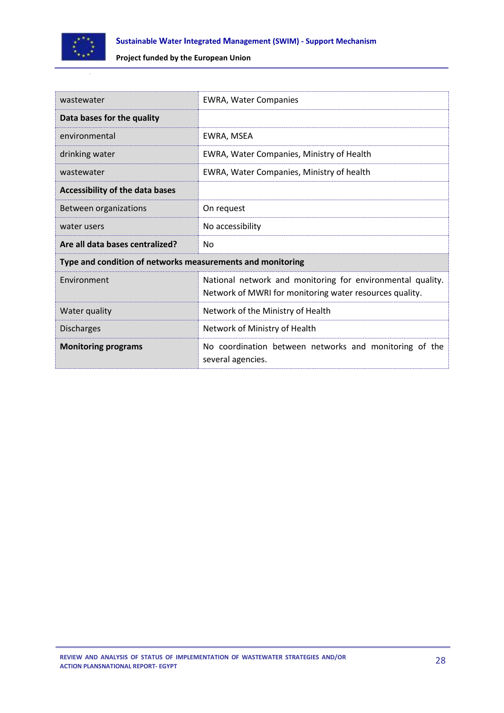

| wastewater                                                 | <b>EWRA, Water Companies</b>                                                                                          |  |
|------------------------------------------------------------|-----------------------------------------------------------------------------------------------------------------------|--|
| Data bases for the quality                                 |                                                                                                                       |  |
| environmental                                              | EWRA, MSEA                                                                                                            |  |
| drinking water                                             | EWRA, Water Companies, Ministry of Health                                                                             |  |
| wastewater                                                 | EWRA, Water Companies, Ministry of health                                                                             |  |
| <b>Accessibility of the data bases</b>                     |                                                                                                                       |  |
| Between organizations                                      | On request                                                                                                            |  |
| water users                                                | No accessibility                                                                                                      |  |
| Are all data bases centralized?                            | No                                                                                                                    |  |
| Type and condition of networks measurements and monitoring |                                                                                                                       |  |
| Fnvironment                                                | National network and monitoring for environmental quality.<br>Network of MWRI for monitoring water resources quality. |  |
| Water quality                                              | Network of the Ministry of Health                                                                                     |  |
| <b>Discharges</b>                                          | Network of Ministry of Health                                                                                         |  |
| <b>Monitoring programs</b>                                 | No coordination between networks and monitoring of the<br>several agencies.                                           |  |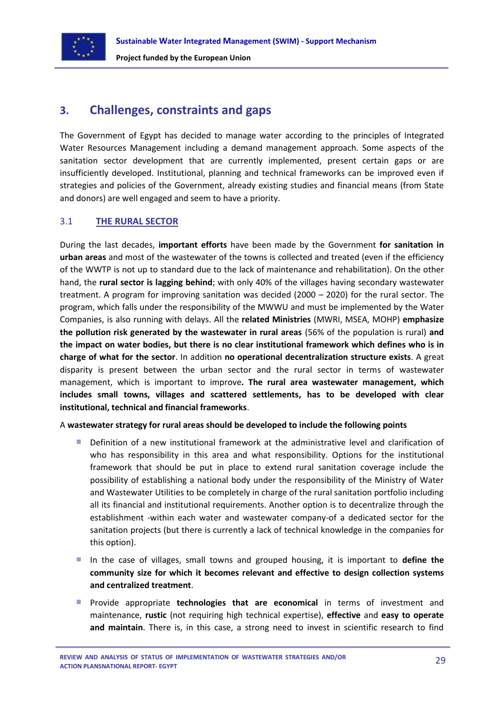

## <span id="page-28-0"></span>**3. Challenges, constraints and gaps**

The Government of Egypt has decided to manage water according to the principles of Integrated Water Resources Management including a demand management approach. Some aspects of the sanitation sector development that are currently implemented, present certain gaps or are insufficiently developed. Institutional, planning and technical frameworks can be improved even if strategies and policies of the Government, already existing studies and financial means (from State and donors) are well engaged and seem to have a priority.

## <span id="page-28-1"></span>3.1 **THE RURAL SECTOR**

During the last decades, **important efforts** have been made by the Government **for sanitation in urban areas** and most of the wastewater of the towns is collected and treated (even if the efficiency of the WWTP is not up to standard due to the lack of maintenance and rehabilitation). On the other hand, the **rural sector is lagging behind**; with only 40% of the villages having secondary wastewater treatment. A program for improving sanitation was decided (2000 – 2020) for the rural sector. The program, which falls under the responsibility of the MWWU and must be implemented by the Water Companies, is also running with delays. All the **related Ministries** (MWRI, MSEA, MOHP) **emphasize the pollution risk generated by the wastewater in rural areas** (56% of the population is rural) **and the impact on water bodies, but there is no clear institutional framework which defines who is in charge of what for the sector**. In addition **no operational decentralization structure exists**. A great disparity is present between the urban sector and the rural sector in terms of wastewater management, which is important to improve**. The rural area wastewater management, which includes small towns, villages and scattered settlements, has to be developed with clear institutional, technical and financial frameworks**.

## A **wastewater strategy for rural areas should be developed to include the following points**

- Definition of a new institutional framework at the administrative level and clarification of who has responsibility in this area and what responsibility. Options for the institutional framework that should be put in place to extend rural sanitation coverage include the possibility of establishing a national body under the responsibility of the Ministry of Water and Wastewater Utilities to be completely in charge of the rural sanitation portfolio including all its financial and institutional requirements. Another option is to decentralize through the establishment -within each water and wastewater company-of a dedicated sector for the sanitation projects (but there is currently a lack of technical knowledge in the companies for this option).
- In the case of villages, small towns and grouped housing, it is important to **define the community size for which it becomes relevant and effective to design collection systems and centralized treatment**.
- **Perovide appropriate technologies that are economical** in terms of investment and maintenance, **rustic** (not requiring high technical expertise), **effective** and **easy to operate and maintain**. There is, in this case, a strong need to invest in scientific research to find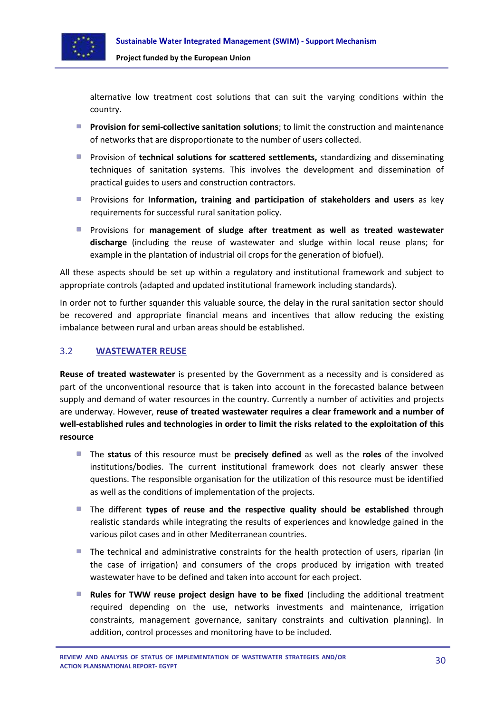

alternative low treatment cost solutions that can suit the varying conditions within the country.

- **Provision for semi-collective sanitation solutions**; to limit the construction and maintenance of networks that are disproportionate to the number of users collected.
- **Perovision of technical solutions for scattered settlements, standardizing and disseminating** techniques of sanitation systems. This involves the development and dissemination of practical guides to users and construction contractors.
- **Perovisions for Information, training and participation of stakeholders and users** as key requirements for successful rural sanitation policy.
- Provisions for **management of sludge after treatment as well as treated wastewater discharge** (including the reuse of wastewater and sludge within local reuse plans; for example in the plantation of industrial oil crops for the generation of biofuel).

All these aspects should be set up within a regulatory and institutional framework and subject to appropriate controls (adapted and updated institutional framework including standards).

In order not to further squander this valuable source, the delay in the rural sanitation sector should be recovered and appropriate financial means and incentives that allow reducing the existing imbalance between rural and urban areas should be established.

## <span id="page-29-0"></span>3.2 **WASTEWATER REUSE**

**Reuse of treated wastewater** is presented by the Government as a necessity and is considered as part of the unconventional resource that is taken into account in the forecasted balance between supply and demand of water resources in the country. Currently a number of activities and projects are underway. However, **reuse of treated wastewater requires a clear framework and a number of well-established rules and technologies in order to limit the risks related to the exploitation of this resource**

- The **status** of this resource must be **precisely defined** as well as the **roles** of the involved institutions/bodies. The current institutional framework does not clearly answer these questions. The responsible organisation for the utilization of this resource must be identified as well as the conditions of implementation of the projects.
- **The different types of reuse and the respective quality should be established** through realistic standards while integrating the results of experiences and knowledge gained in the various pilot cases and in other Mediterranean countries.
- The technical and administrative constraints for the health protection of users, riparian (in the case of irrigation) and consumers of the crops produced by irrigation with treated wastewater have to be defined and taken into account for each project.
- **Rules for TWW reuse project design have to be fixed** (including the additional treatment required depending on the use, networks investments and maintenance, irrigation constraints, management governance, sanitary constraints and cultivation planning). In addition, control processes and monitoring have to be included.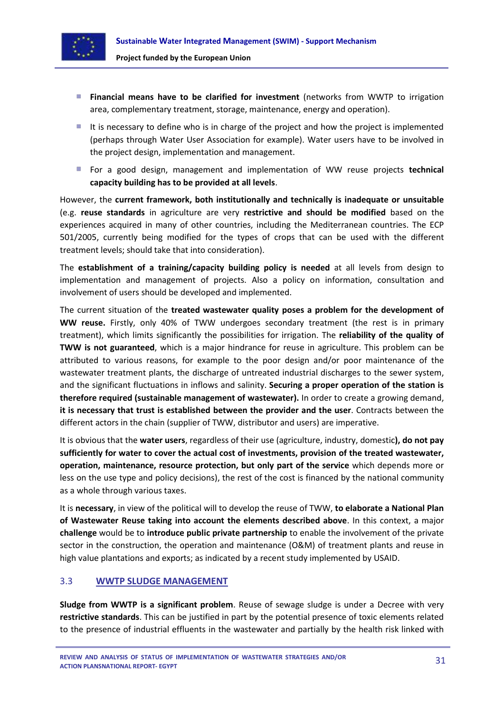

- **Financial means have to be clarified for investment** (networks from WWTP to irrigation area, complementary treatment, storage, maintenance, energy and operation).
- It is necessary to define who is in charge of the project and how the project is implemented (perhaps through Water User Association for example). Water users have to be involved in the project design, implementation and management.
- For a good design, management and implementation of WW reuse projects **technical capacity building has to be provided at all levels**.

However, the **current framework, both institutionally and technically is inadequate or unsuitable** (e.g. **reuse standards** in agriculture are very **restrictive and should be modified** based on the experiences acquired in many of other countries, including the Mediterranean countries. The ECP 501/2005, currently being modified for the types of crops that can be used with the different treatment levels; should take that into consideration).

The **establishment of a training/capacity building policy is needed** at all levels from design to implementation and management of projects. Also a policy on information, consultation and involvement of users should be developed and implemented.

The current situation of the **treated wastewater quality poses a problem for the development of WW reuse.** Firstly, only 40% of TWW undergoes secondary treatment (the rest is in primary treatment), which limits significantly the possibilities for irrigation. The **reliability of the quality of TWW is not guaranteed**, which is a major hindrance for reuse in agriculture. This problem can be attributed to various reasons, for example to the poor design and/or poor maintenance of the wastewater treatment plants, the discharge of untreated industrial discharges to the sewer system, and the significant fluctuations in inflows and salinity. **Securing a proper operation of the station is therefore required (sustainable management of wastewater).** In order to create a growing demand, **it is necessary that trust is established between the provider and the user**. Contracts between the different actors in the chain (supplier of TWW, distributor and users) are imperative.

It is obvious that the **water users**, regardless of their use (agriculture, industry, domestic**), do not pay sufficiently for water to cover the actual cost of investments, provision of the treated wastewater, operation, maintenance, resource protection, but only part of the service** which depends more or less on the use type and policy decisions), the rest of the cost is financed by the national community as a whole through various taxes.

It is **necessary**, in view of the political will to develop the reuse of TWW, **to elaborate a National Plan of Wastewater Reuse taking into account the elements described above**. In this context, a major **challenge** would be to **introduce public private partnership** to enable the involvement of the private sector in the construction, the operation and maintenance (O&M) of treatment plants and reuse in high value plantations and exports; as indicated by a recent study implemented by USAID.

## <span id="page-30-0"></span>3.3 **WWTP SLUDGE MANAGEMENT**

**Sludge from WWTP is a significant problem**. Reuse of sewage sludge is under a Decree with very **restrictive standards**. This can be justified in part by the potential presence of toxic elements related to the presence of industrial effluents in the wastewater and partially by the health risk linked with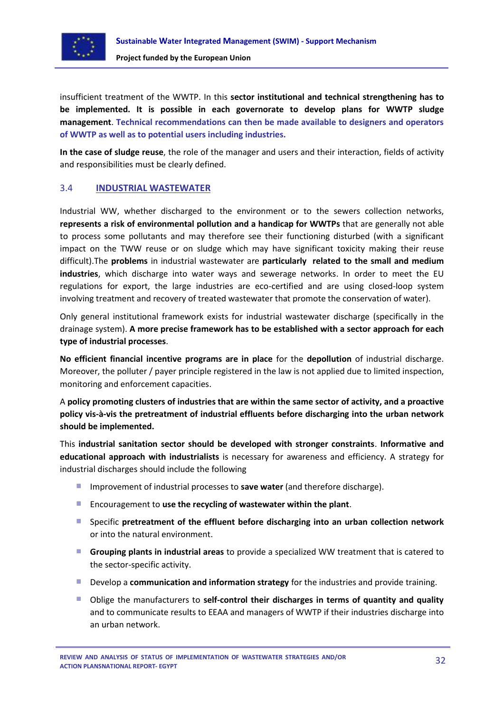

insufficient treatment of the WWTP. In this **sector institutional and technical strengthening has to be implemented. It is possible in each governorate to develop plans for WWTP sludge management**. **Technical recommendations can then be made available to designers and operators of WWTP as well as to potential users including industries.**

**In the case of sludge reuse**, the role of the manager and users and their interaction, fields of activity and responsibilities must be clearly defined.

## <span id="page-31-0"></span>3.4 **INDUSTRIAL WASTEWATER**

Industrial WW, whether discharged to the environment or to the sewers collection networks, **represents a risk of environmental pollution and a handicap for WWTPs** that are generally not able to process some pollutants and may therefore see their functioning disturbed (with a significant impact on the TWW reuse or on sludge which may have significant toxicity making their reuse difficult).The **problems** in industrial wastewater are **particularly related to the small and medium industries**, which discharge into water ways and sewerage networks. In order to meet the EU regulations for export, the large industries are eco-certified and are using closed-loop system involving treatment and recovery of treated wastewater that promote the conservation of water).

Only general institutional framework exists for industrial wastewater discharge (specifically in the drainage system). **A more precise framework has to be established with a sector approach for each type of industrial processes**.

**No efficient financial incentive programs are in place** for the **depollution** of industrial discharge. Moreover, the polluter / payer principle registered in the law is not applied due to limited inspection, monitoring and enforcement capacities.

A **policy promoting clusters of industries that are within the same sector of activity, and a proactive policy vis-à-vis the pretreatment of industrial effluents before discharging into the urban network should be implemented.**

This **industrial sanitation sector should be developed with stronger constraints**. **Informative and educational approach with industrialists** is necessary for awareness and efficiency. A strategy for industrial discharges should include the following

- **IMPROMEDIATE:** Improvement of industrial processes to **save water** (and therefore discharge).
- Encouragement to **use the recycling of wastewater within the plant**.
- Specific **pretreatment of the effluent before discharging into an urban collection network** or into the natural environment.
- **Grouping plants in industrial areas** to provide a specialized WW treatment that is catered to the sector-specific activity.
- **Develop a communication and information strategy** for the industries and provide training.
- Oblige the manufacturers to **self-control their discharges in terms of quantity and quality** and to communicate results to EEAA and managers of WWTP if their industries discharge into an urban network.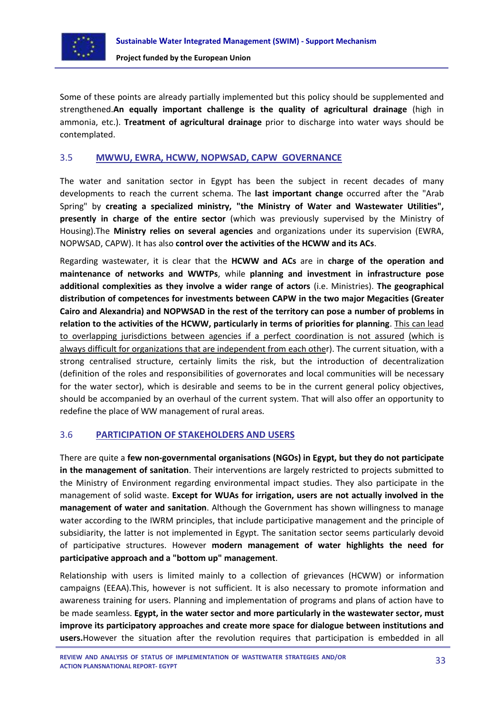

Some of these points are already partially implemented but this policy should be supplemented and strengthened.**An equally important challenge is the quality of agricultural drainage** (high in ammonia, etc.). **Treatment of agricultural drainage** prior to discharge into water ways should be contemplated.

## <span id="page-32-0"></span>3.5 **MWWU, EWRA, HCWW, NOPWSAD, CAPW GOVERNANCE**

The water and sanitation sector in Egypt has been the subject in recent decades of many developments to reach the current schema. The **last important change** occurred after the "Arab Spring" by **creating a specialized ministry, "the Ministry of Water and Wastewater Utilities", presently in charge of the entire sector** (which was previously supervised by the Ministry of Housing).The **Ministry relies on several agencies** and organizations under its supervision (EWRA, NOPWSAD, CAPW). It has also **control over the activities of the HCWW and its ACs**.

Regarding wastewater, it is clear that the **HCWW and ACs** are in **charge of the operation and maintenance of networks and WWTPs**, while **planning and investment in infrastructure pose additional complexities as they involve a wider range of actors** (i.e. Ministries). **The geographical distribution of competences for investments between CAPW in the two major Megacities (Greater Cairo and Alexandria) and NOPWSAD in the rest of the territory can pose a number of problems in relation to the activities of the HCWW, particularly in terms of priorities for planning**. This can lead to overlapping jurisdictions between agencies if a perfect coordination is not assured (which is always difficult for organizations that are independent from each other). The current situation, with a strong centralised structure, certainly limits the risk, but the introduction of decentralization (definition of the roles and responsibilities of governorates and local communities will be necessary for the water sector), which is desirable and seems to be in the current general policy objectives, should be accompanied by an overhaul of the current system. That will also offer an opportunity to redefine the place of WW management of rural areas.

## <span id="page-32-1"></span>3.6 **PARTICIPATION OF STAKEHOLDERS AND USERS**

There are quite a **few non-governmental organisations (NGOs) in Egypt, but they do not participate in the management of sanitation**. Their interventions are largely restricted to projects submitted to the Ministry of Environment regarding environmental impact studies. They also participate in the management of solid waste. **Except for WUAs for irrigation, users are not actually involved in the management of water and sanitation**. Although the Government has shown willingness to manage water according to the IWRM principles, that include participative management and the principle of subsidiarity, the latter is not implemented in Egypt. The sanitation sector seems particularly devoid of participative structures. However **modern management of water highlights the need for participative approach and a "bottom up" management**.

Relationship with users is limited mainly to a collection of grievances (HCWW) or information campaigns (EEAA).This, however is not sufficient. It is also necessary to promote information and awareness training for users. Planning and implementation of programs and plans of action have to be made seamless. **Egypt, in the water sector and more particularly in the wastewater sector, must improve its participatory approaches and create more space for dialogue between institutions and users.**However the situation after the revolution requires that participation is embedded in all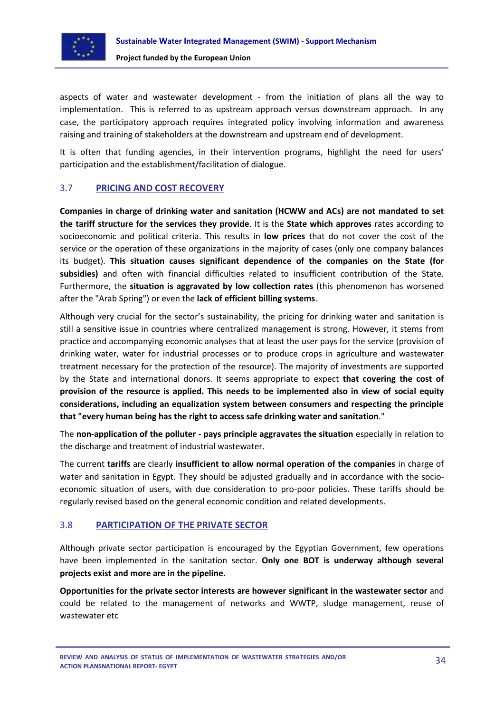

aspects of water and wastewater development - from the initiation of plans all the way to implementation. This is referred to as upstream approach versus downstream approach. In any case, the participatory approach requires integrated policy involving information and awareness raising and training of stakeholders at the downstream and upstream end of development.

It is often that funding agencies, in their intervention programs, highlight the need for users' participation and the establishment/facilitation of dialogue.

## <span id="page-33-0"></span>3.7 **PRICING AND COST RECOVERY**

**Companies in charge of drinking water and sanitation (HCWW and ACs) are not mandated to set the tariff structure for the services they provide**. It is the **State which approves** rates according to socioeconomic and political criteria. This results in **low prices** that do not cover the cost of the service or the operation of these organizations in the majority of cases (only one company balances its budget). **This situation causes significant dependence of the companies on the State (for subsidies)** and often with financial difficulties related to insufficient contribution of the State. Furthermore, the **situation is aggravated by low collection rates** (this phenomenon has worsened after the "Arab Spring") or even the **lack of efficient billing systems**.

Although very crucial for the sector's sustainability, the pricing for drinking water and sanitation is still a sensitive issue in countries where centralized management is strong. However, it stems from practice and accompanying economic analyses that at least the user pays for the service (provision of drinking water, water for industrial processes or to produce crops in agriculture and wastewater treatment necessary for the protection of the resource). The majority of investments are supported by the State and international donors. It seems appropriate to expect **that covering the cost of provision of the resource is applied. This needs to be implemented also in view of social equity considerations, including an equalization system between consumers and respecting the principle that "every human being has the right to access safe drinking water and sanitation**."

The **non-application of the polluter - pays principle aggravates the situation** especially in relation to the discharge and treatment of industrial wastewater.

The current **tariffs** are clearly **insufficient to allow normal operation of the companies** in charge of water and sanitation in Egypt. They should be adjusted gradually and in accordance with the socioeconomic situation of users, with due consideration to pro-poor policies. These tariffs should be regularly revised based on the general economic condition and related developments.

## <span id="page-33-1"></span>3.8 **PARTICIPATION OF THE PRIVATE SECTOR**

Although private sector participation is encouraged by the Egyptian Government, few operations have been implemented in the sanitation sector. **Only one BOT is underway although several projects exist and more are in the pipeline.**

**Opportunities for the private sector interests are however significant in the wastewater sector** and could be related to the management of networks and WWTP, sludge management, reuse of wastewater etc

**REVIEW AND ANALYSIS OF STATUS OF IMPLEMENTATION OF WASTEWATER STRATEGIES AND/OR ACTION PLANSNATIONAL REPORT- EGYPT**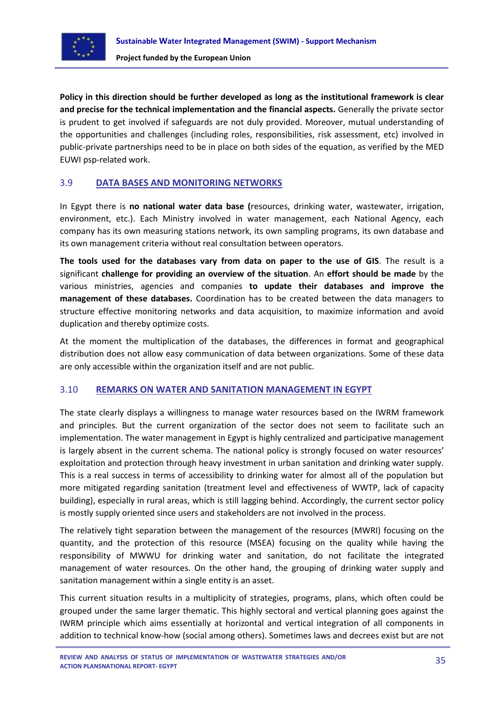

**Policy in this direction should be further developed as long as the institutional framework is clear and precise for the technical implementation and the financial aspects.** Generally the private sector is prudent to get involved if safeguards are not duly provided. Moreover, mutual understanding of the opportunities and challenges (including roles, responsibilities, risk assessment, etc) involved in public-private partnerships need to be in place on both sides of the equation, as verified by the MED EUWI psp-related work.

## <span id="page-34-0"></span>3.9 **DATA BASES AND MONITORING NETWORKS**

In Egypt there is **no national water data base (**resources, drinking water, wastewater, irrigation, environment, etc.). Each Ministry involved in water management, each National Agency, each company has its own measuring stations network, its own sampling programs, its own database and its own management criteria without real consultation between operators.

**The tools used for the databases vary from data on paper to the use of GIS**. The result is a significant **challenge for providing an overview of the situation**. An **effort should be made** by the various ministries, agencies and companies **to update their databases and improve the management of these databases.** Coordination has to be created between the data managers to structure effective monitoring networks and data acquisition, to maximize information and avoid duplication and thereby optimize costs.

At the moment the multiplication of the databases, the differences in format and geographical distribution does not allow easy communication of data between organizations. Some of these data are only accessible within the organization itself and are not public.

## <span id="page-34-1"></span>3.10 **REMARKS ON WATER AND SANITATION MANAGEMENT IN EGYPT**

The state clearly displays a willingness to manage water resources based on the IWRM framework and principles. But the current organization of the sector does not seem to facilitate such an implementation. The water management in Egypt is highly centralized and participative management is largely absent in the current schema. The national policy is strongly focused on water resources' exploitation and protection through heavy investment in urban sanitation and drinking water supply. This is a real success in terms of accessibility to drinking water for almost all of the population but more mitigated regarding sanitation (treatment level and effectiveness of WWTP, lack of capacity building), especially in rural areas, which is still lagging behind. Accordingly, the current sector policy is mostly supply oriented since users and stakeholders are not involved in the process.

The relatively tight separation between the management of the resources (MWRI) focusing on the quantity, and the protection of this resource (MSEA) focusing on the quality while having the responsibility of MWWU for drinking water and sanitation, do not facilitate the integrated management of water resources. On the other hand, the grouping of drinking water supply and sanitation management within a single entity is an asset.

This current situation results in a multiplicity of strategies, programs, plans, which often could be grouped under the same larger thematic. This highly sectoral and vertical planning goes against the IWRM principle which aims essentially at horizontal and vertical integration of all components in addition to technical know-how (social among others). Sometimes laws and decrees exist but are not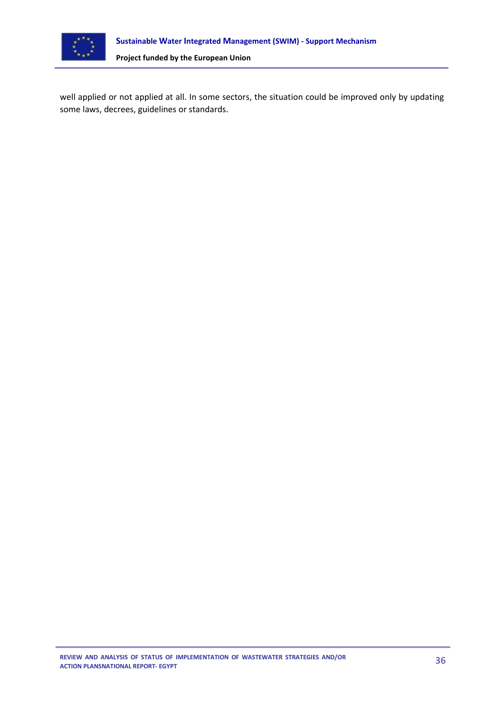

well applied or not applied at all. In some sectors, the situation could be improved only by updating some laws, decrees, guidelines or standards.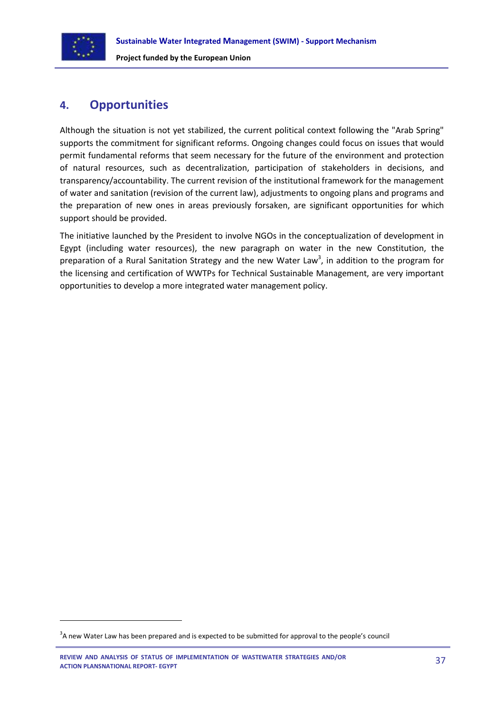

 $\overline{a}$ 

**Project funded by the European Union**

## <span id="page-36-0"></span>**4. Opportunities**

Although the situation is not yet stabilized, the current political context following the "Arab Spring" supports the commitment for significant reforms. Ongoing changes could focus on issues that would permit fundamental reforms that seem necessary for the future of the environment and protection of natural resources, such as decentralization, participation of stakeholders in decisions, and transparency/accountability. The current revision of the institutional framework for the management of water and sanitation (revision of the current law), adjustments to ongoing plans and programs and the preparation of new ones in areas previously forsaken, are significant opportunities for which support should be provided.

The initiative launched by the President to involve NGOs in the conceptualization of development in Egypt (including water resources), the new paragraph on water in the new Constitution, the preparation of a Rural Sanitation Strategy and the new Water Law<sup>3</sup>, in addition to the program for the licensing and certification of WWTPs for Technical Sustainable Management, are very important opportunities to develop a more integrated water management policy.

 $3$ A new Water Law has been prepared and is expected to be submitted for approval to the people's council

**REVIEW AND ANALYSIS OF STATUS OF IMPLEMENTATION OF WASTEWATER STRATEGIES AND/OR ACTION PLANSNATIONAL REPORT- EGYPT**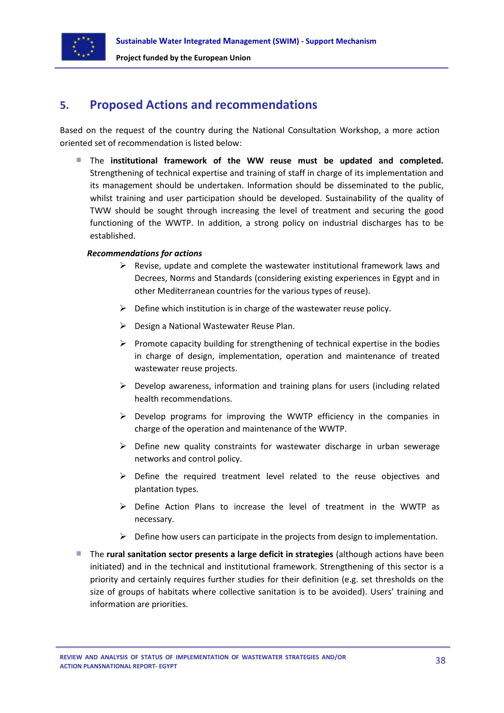

## <span id="page-37-0"></span>**5. Proposed Actions and recommendations**

Based on the request of the country during the National Consultation Workshop, a more action oriented set of recommendation is listed below:

The **institutional framework of the WW reuse must be updated and completed.** Strengthening of technical expertise and training of staff in charge of its implementation and its management should be undertaken. Information should be disseminated to the public, whilst training and user participation should be developed. Sustainability of the quality of TWW should be sought through increasing the level of treatment and securing the good functioning of the WWTP. In addition, a strong policy on industrial discharges has to be established.

#### *Recommendations for actions*

- $\triangleright$  Revise, update and complete the wastewater institutional framework laws and Decrees, Norms and Standards (considering existing experiences in Egypt and in other Mediterranean countries for the various types of reuse).
- $\triangleright$  Define which institution is in charge of the wastewater reuse policy.
- $\triangleright$  Design a National Wastewater Reuse Plan.
- $\triangleright$  Promote capacity building for strengthening of technical expertise in the bodies in charge of design, implementation, operation and maintenance of treated wastewater reuse projects.
- $\triangleright$  Develop awareness, information and training plans for users (including related health recommendations.
- $\triangleright$  Develop programs for improving the WWTP efficiency in the companies in charge of the operation and maintenance of the WWTP.
- $\triangleright$  Define new quality constraints for wastewater discharge in urban sewerage networks and control policy.
- $\triangleright$  Define the required treatment level related to the reuse objectives and plantation types.
- $\triangleright$  Define Action Plans to increase the level of treatment in the WWTP as necessary.
- $\triangleright$  Define how users can participate in the projects from design to implementation.
- **The rural sanitation sector presents a large deficit in strategies** (although actions have been initiated) and in the technical and institutional framework. Strengthening of this sector is a priority and certainly requires further studies for their definition (e.g. set thresholds on the size of groups of habitats where collective sanitation is to be avoided). Users' training and information are priorities.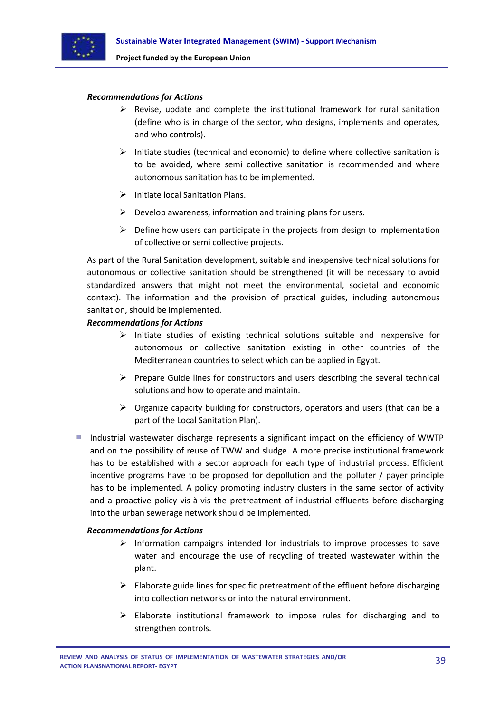

#### *Recommendations for Actions*

- $\triangleright$  Revise, update and complete the institutional framework for rural sanitation (define who is in charge of the sector, who designs, implements and operates, and who controls).
- $\triangleright$  Initiate studies (technical and economic) to define where collective sanitation is to be avoided, where semi collective sanitation is recommended and where autonomous sanitation has to be implemented.
- $\triangleright$  Initiate local Sanitation Plans.
- $\triangleright$  Develop awareness, information and training plans for users.
- $\triangleright$  Define how users can participate in the projects from design to implementation of collective or semi collective projects.

As part of the Rural Sanitation development, suitable and inexpensive technical solutions for autonomous or collective sanitation should be strengthened (it will be necessary to avoid standardized answers that might not meet the environmental, societal and economic context). The information and the provision of practical guides, including autonomous sanitation, should be implemented.

#### *Recommendations for Actions*

- $\triangleright$  Initiate studies of existing technical solutions suitable and inexpensive for autonomous or collective sanitation existing in other countries of the Mediterranean countries to select which can be applied in Egypt.
- $\triangleright$  Prepare Guide lines for constructors and users describing the several technical solutions and how to operate and maintain.
- $\triangleright$  Organize capacity building for constructors, operators and users (that can be a part of the Local Sanitation Plan).
- **Industrial wastewater discharge represents a significant impact on the efficiency of WWTP** and on the possibility of reuse of TWW and sludge. A more precise institutional framework has to be established with a sector approach for each type of industrial process. Efficient incentive programs have to be proposed for depollution and the polluter / payer principle has to be implemented. A policy promoting industry clusters in the same sector of activity and a proactive policy vis-à-vis the pretreatment of industrial effluents before discharging into the urban sewerage network should be implemented.

#### *Recommendations for Actions*

- $\triangleright$  Information campaigns intended for industrials to improve processes to save water and encourage the use of recycling of treated wastewater within the plant.
- $\triangleright$  Elaborate guide lines for specific pretreatment of the effluent before discharging into collection networks or into the natural environment.
- $\triangleright$  Elaborate institutional framework to impose rules for discharging and to strengthen controls.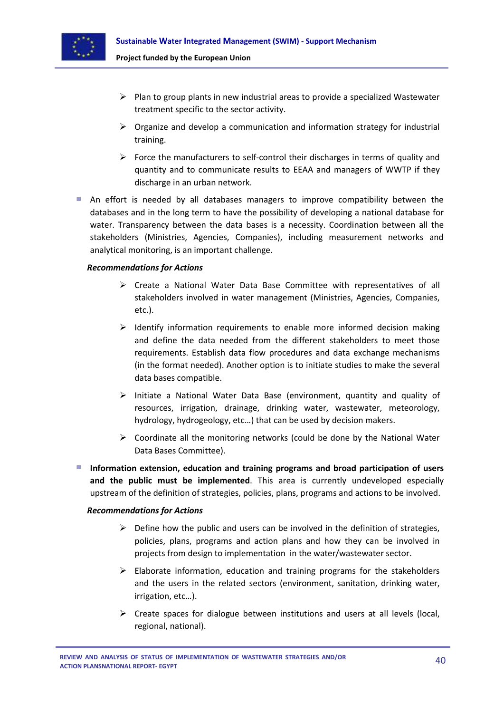

- $\triangleright$  Plan to group plants in new industrial areas to provide a specialized Wastewater treatment specific to the sector activity.
- $\triangleright$  Organize and develop a communication and information strategy for industrial training.
- $\triangleright$  Force the manufacturers to self-control their discharges in terms of quality and quantity and to communicate results to EEAA and managers of WWTP if they discharge in an urban network.
- An effort is needed by all databases managers to improve compatibility between the databases and in the long term to have the possibility of developing a national database for water. Transparency between the data bases is a necessity. Coordination between all the stakeholders (Ministries, Agencies, Companies), including measurement networks and analytical monitoring, is an important challenge.

#### *Recommendations for Actions*

- $\triangleright$  Create a National Water Data Base Committee with representatives of all stakeholders involved in water management (Ministries, Agencies, Companies, etc.).
- $\triangleright$  Identify information requirements to enable more informed decision making and define the data needed from the different stakeholders to meet those requirements. Establish data flow procedures and data exchange mechanisms (in the format needed). Another option is to initiate studies to make the several data bases compatible.
- $\triangleright$  Initiate a National Water Data Base (environment, quantity and quality of resources, irrigation, drainage, drinking water, wastewater, meteorology, hydrology, hydrogeology, etc…) that can be used by decision makers.
- $\triangleright$  Coordinate all the monitoring networks (could be done by the National Water Data Bases Committee).
- **Information extension, education and training programs and broad participation of users and the public must be implemented**. This area is currently undeveloped especially upstream of the definition of strategies, policies, plans, programs and actions to be involved.

#### *Recommendations for Actions*

- $\triangleright$  Define how the public and users can be involved in the definition of strategies, policies, plans, programs and action plans and how they can be involved in projects from design to implementation in the water/wastewater sector.
- $\triangleright$  Elaborate information, education and training programs for the stakeholders and the users in the related sectors (environment, sanitation, drinking water, irrigation, etc…).
- $\triangleright$  Create spaces for dialogue between institutions and users at all levels (local, regional, national).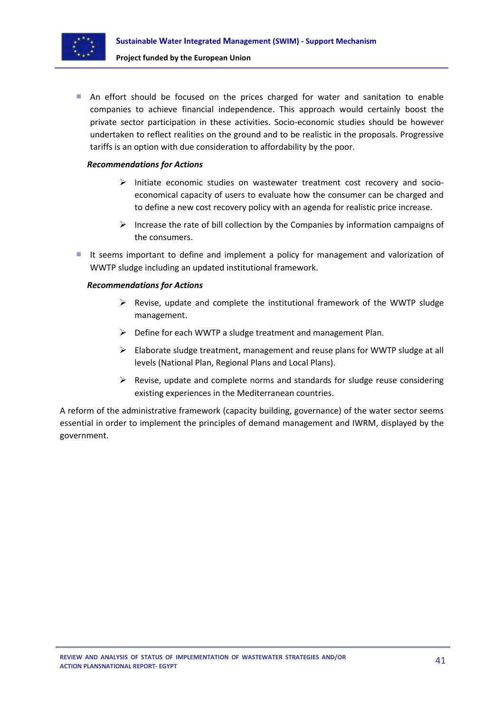

An effort should be focused on the prices charged for water and sanitation to enable companies to achieve financial independence. This approach would certainly boost the private sector participation in these activities. Socio-economic studies should be however undertaken to reflect realities on the ground and to be realistic in the proposals. Progressive tariffs is an option with due consideration to affordability by the poor.

#### *Recommendations for Actions*

- $\triangleright$  Initiate economic studies on wastewater treatment cost recovery and socioeconomical capacity of users to evaluate how the consumer can be charged and to define a new cost recovery policy with an agenda for realistic price increase.
- Increase the rate of bill collection by the Companies by information campaigns of the consumers.
- It seems important to define and implement a policy for management and valorization of WWTP sludge including an updated institutional framework.

#### *Recommendations for Actions*

- $\triangleright$  Revise, update and complete the institutional framework of the WWTP sludge management.
- $\triangleright$  Define for each WWTP a sludge treatment and management Plan.
- $\triangleright$  Elaborate sludge treatment, management and reuse plans for WWTP sludge at all levels (National Plan, Regional Plans and Local Plans).
- $\triangleright$  Revise, update and complete norms and standards for sludge reuse considering existing experiences in the Mediterranean countries.

A reform of the administrative framework (capacity building, governance) of the water sector seems essential in order to implement the principles of demand management and IWRM, displayed by the government.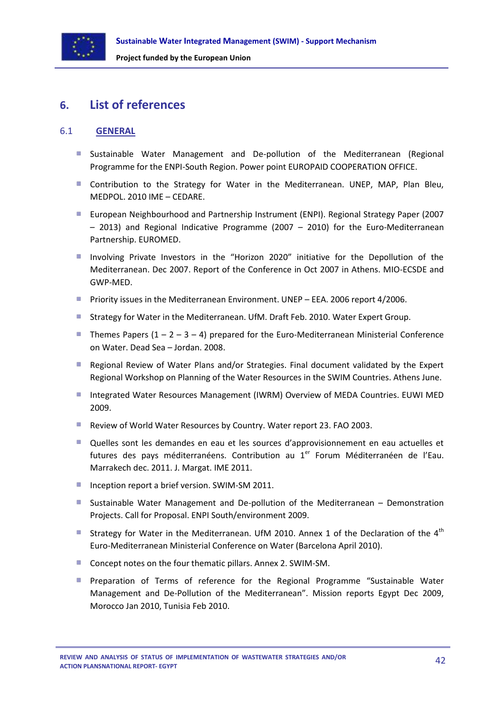

## <span id="page-41-0"></span>**6. List of references**

## <span id="page-41-1"></span>6.1 **GENERAL**

- **Sustainable Water Management and De-pollution of the Mediterranean (Regional** Programme for the ENPI-South Region. Power point EUROPAID COOPERATION OFFICE.
- **Contribution to the Strategy for Water in the Mediterranean. UNEP, MAP, Plan Bleu,** MEDPOL. 2010 IME – CEDARE.
- European Neighbourhood and Partnership Instrument (ENPI). Regional Strategy Paper (2007 – 2013) and Regional Indicative Programme (2007 – 2010) for the Euro-Mediterranean Partnership. EUROMED.
- **Involving Private Investors in the "Horizon 2020" initiative for the Depollution of the** Mediterranean. Dec 2007. Report of the Conference in Oct 2007 in Athens. MIO-ECSDE and GWP-MED.
- **Priority issues in the Mediterranean Environment. UNEP EEA. 2006 report 4/2006.**
- **Strategy for Water in the Mediterranean. UfM. Draft Feb. 2010. Water Expert Group.**
- Themes Papers  $(1 2 3 4)$  prepared for the Euro-Mediterranean Ministerial Conference on Water. Dead Sea – Jordan. 2008.
- **Regional Review of Water Plans and/or Strategies. Final document validated by the Expert** Regional Workshop on Planning of the Water Resources in the SWIM Countries. Athens June.
- Integrated Water Resources Management (IWRM) Overview of MEDA Countries. EUWI MED 2009.
- Review of World Water Resources by Country. Water report 23. FAO 2003.
- Quelles sont les demandes en eau et les sources d'approvisionnement en eau actuelles et futures des pays méditerranéens. Contribution au  $1<sup>er</sup>$  Forum Méditerranéen de l'Eau. Marrakech dec. 2011. J. Margat. IME 2011.
- Inception report a brief version. SWIM-SM 2011.
- **Sustainable Water Management and De-pollution of the Mediterranean Demonstration** Projects. Call for Proposal. ENPI South/environment 2009.
- Strategy for Water in the Mediterranean. UfM 2010. Annex 1 of the Declaration of the  $4<sup>th</sup>$ Euro-Mediterranean Ministerial Conference on Water (Barcelona April 2010).
- Concept notes on the four thematic pillars. Annex 2. SWIM-SM.
- Preparation of Terms of reference for the Regional Programme "Sustainable Water Management and De-Pollution of the Mediterranean". Mission reports Egypt Dec 2009, Morocco Jan 2010, Tunisia Feb 2010.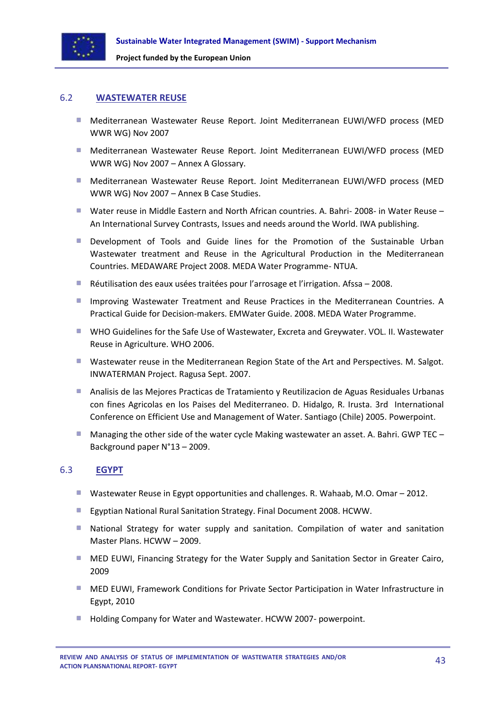

#### <span id="page-42-0"></span>6.2 **WASTEWATER REUSE**

- Mediterranean Wastewater Reuse Report. Joint Mediterranean EUWI/WFD process (MED WWR WG) Nov 2007
- Mediterranean Wastewater Reuse Report. Joint Mediterranean EUWI/WFD process (MED WWR WG) Nov 2007 – Annex A Glossary.
- Mediterranean Wastewater Reuse Report. Joint Mediterranean EUWI/WFD process (MED WWR WG) Nov 2007 – Annex B Case Studies.
- Water reuse in Middle Eastern and North African countries. A. Bahri- 2008- in Water Reuse An International Survey Contrasts, Issues and needs around the World. IWA publishing.
- **Development of Tools and Guide lines for the Promotion of the Sustainable Urban** Wastewater treatment and Reuse in the Agricultural Production in the Mediterranean Countries. MEDAWARE Project 2008. MEDA Water Programme- NTUA.
- Réutilisation des eaux usées traitées pour l'arrosage et l'irrigation. Afssa 2008.
- **Improving Wastewater Treatment and Reuse Practices in the Mediterranean Countries. A** Practical Guide for Decision-makers. EMWater Guide. 2008. MEDA Water Programme.
- WHO Guidelines for the Safe Use of Wastewater, Excreta and Greywater. VOL. II. Wastewater Reuse in Agriculture. WHO 2006.
- **Wastewater reuse in the Mediterranean Region State of the Art and Perspectives. M. Salgot.** INWATERMAN Project. Ragusa Sept. 2007.
- **Analisis de las Mejores Practicas de Tratamiento y Reutilizacion de Aguas Residuales Urbanas** con fines Agricolas en los Paises del Mediterraneo. D. Hidalgo, R. Irusta. 3rd International Conference on Efficient Use and Management of Water. Santiago (Chile) 2005. Powerpoint.
- Managing the other side of the water cycle Making wastewater an asset. A. Bahri. GWP TEC Background paper N°13 – 2009.

## <span id="page-42-1"></span>6.3 **EGYPT**

- Wastewater Reuse in Egypt opportunities and challenges. R. Wahaab, M.O. Omar 2012.
- **Egyptian National Rural Sanitation Strategy. Final Document 2008. HCWW.**
- **National Strategy for water supply and sanitation. Compilation of water and sanitation** Master Plans. HCWW – 2009.
- **MED EUWI, Financing Strategy for the Water Supply and Sanitation Sector in Greater Cairo,** 2009
- MED EUWI, Framework Conditions for Private Sector Participation in Water Infrastructure in Egypt, 2010
- **Holding Company for Water and Wastewater. HCWW 2007- powerpoint.**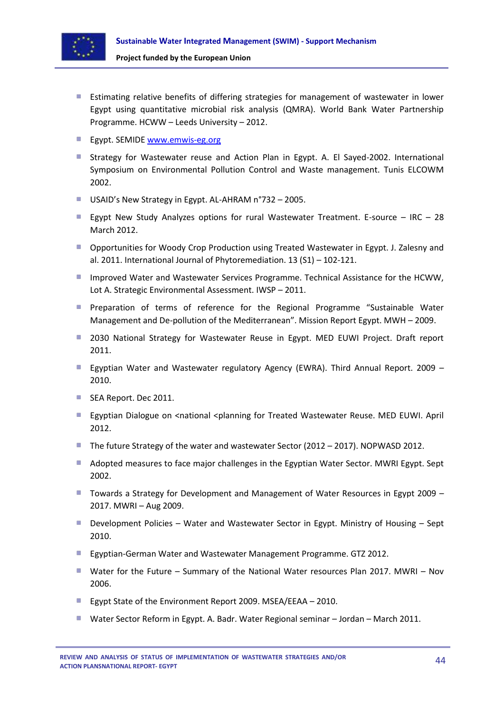

- Estimating relative benefits of differing strategies for management of wastewater in lower Egypt using quantitative microbial risk analysis (QMRA). World Bank Water Partnership Programme. HCWW – Leeds University – 2012.
- **Egypt. SEMIDE [www.emwis-eg.org](http://www.emwis-eg.org/)**
- Strategy for Wastewater reuse and Action Plan in Egypt. A. El Sayed-2002. International Symposium on Environmental Pollution Control and Waste management. Tunis ELCOWM 2002.
- USAID's New Strategy in Egypt. AL-AHRAM n°732 2005.
- Egypt New Study Analyzes options for rural Wastewater Treatment. E-source IRC 28 March 2012.
- **D** Opportunities for Woody Crop Production using Treated Wastewater in Egypt. J. Zalesny and al. 2011. International Journal of Phytoremediation. 13 (S1) – 102-121.
- **Improved Water and Wastewater Services Programme. Technical Assistance for the HCWW,** Lot A. Strategic Environmental Assessment. IWSP – 2011.
- **Pereparation of terms of reference for the Regional Programme "Sustainable Water**" Management and De-pollution of the Mediterranean". Mission Report Egypt. MWH – 2009.
- **2030 National Strategy for Wastewater Reuse in Egypt. MED EUWI Project. Draft report** 2011.
- Egyptian Water and Wastewater regulatory Agency (EWRA). Third Annual Report. 2009 2010.
- SEA Report. Dec 2011.
- **Egyptian Dialogue on <national <planning for Treated Wastewater Reuse. MED EUWI. April** 2012.
- The future Strategy of the water and wastewater Sector (2012 2017). NOPWASD 2012.
- Adopted measures to face major challenges in the Egyptian Water Sector. MWRI Egypt. Sept 2002.
- Towards a Strategy for Development and Management of Water Resources in Egypt 2009 2017. MWRI – Aug 2009.
- Development Policies Water and Wastewater Sector in Egypt. Ministry of Housing Sept 2010.
- **Egyptian-German Water and Wastewater Management Programme. GTZ 2012.**
- Water for the Future Summary of the National Water resources Plan 2017. MWRI Nov 2006.
- Egypt State of the Environment Report 2009. MSEA/EEAA 2010.
- Water Sector Reform in Egypt. A. Badr. Water Regional seminar Jordan March 2011.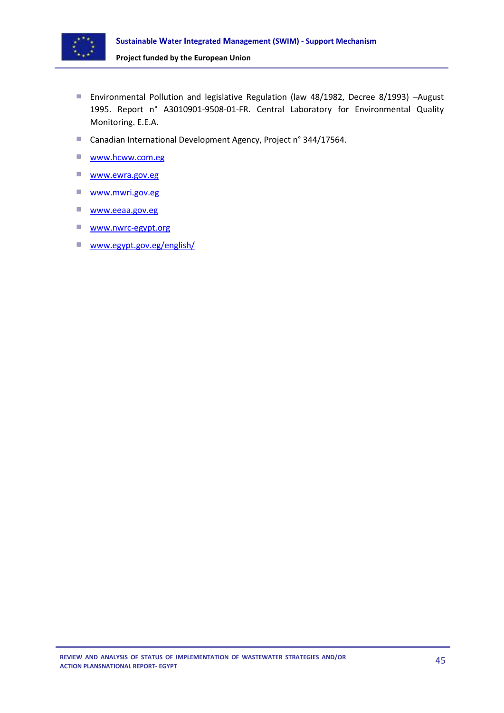

- Environmental Pollution and legislative Regulation (law 48/1982, Decree 8/1993) –August 1995. Report n° A3010901-9508-01-FR. Central Laboratory for Environmental Quality Monitoring. E.E.A.
- Canadian International Development Agency, Project n° 344/17564.
- a. [www.hcww.com.eg](http://www.hcww.com.eg/)
- [www.ewra.gov.eg](http://www.ewra.gov.eg/)
- $\mathcal{L}_{\mathcal{A}}$ [www.mwri.gov.eg](http://www.mwri.gov.eg/)
- $\mathcal{L}_{\mathcal{A}}$ [www.eeaa.gov.eg](http://www.eeaa.gov.eg/)
- [www.nwrc-egypt.org](http://www.nwrc-egypt.org/)
- www.egypt.gov.eg/english/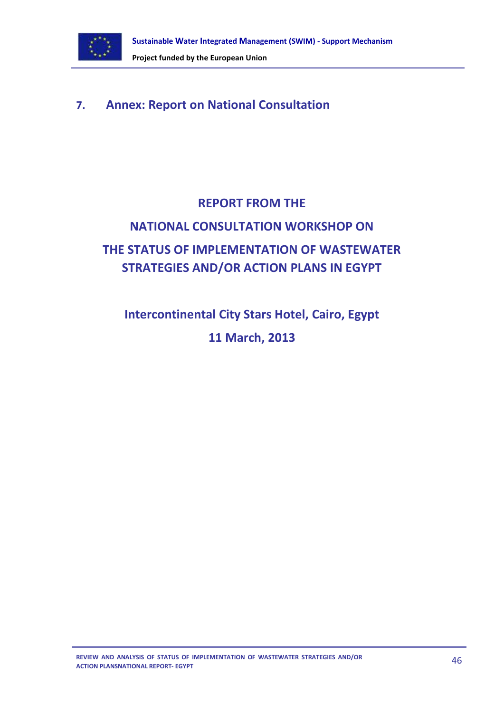

## <span id="page-45-0"></span>**7. Annex: Report on National Consultation**

# **REPORT FROM THE NATIONAL CONSULTATION WORKSHOP ON THE STATUS OF IMPLEMENTATION OF WASTEWATER STRATEGIES AND/OR ACTION PLANS IN EGYPT**

**Intercontinental City Stars Hotel, Cairo, Egypt 11 March, 2013**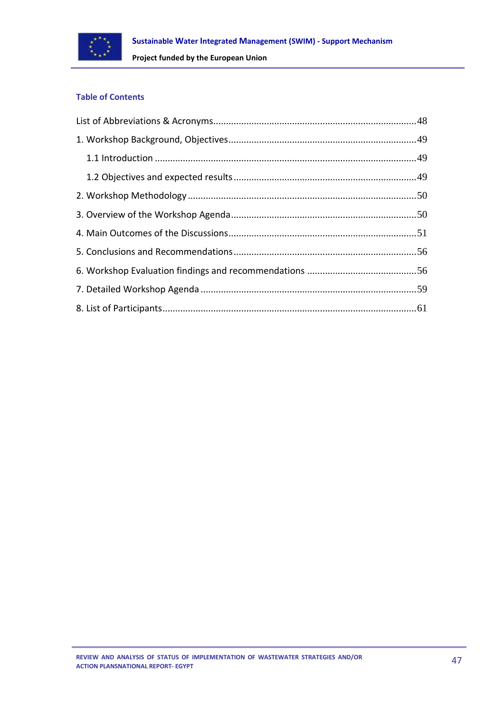

## **Table of Contents**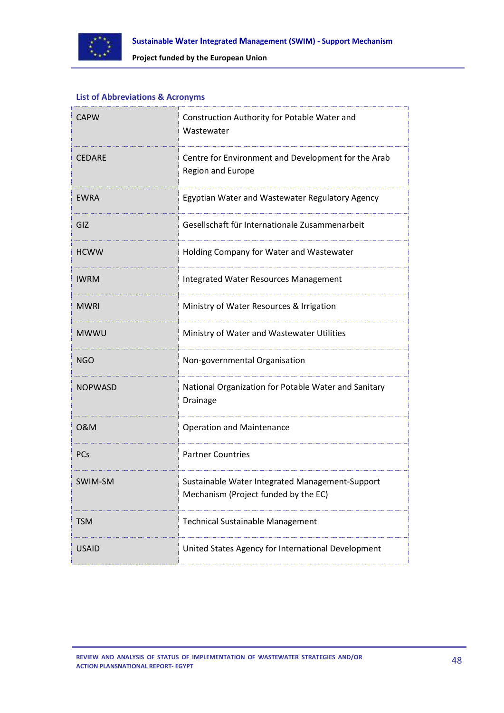

## <span id="page-47-0"></span>**List of Abbreviations & Acronyms**

| <b>CAPW</b>    | Construction Authority for Potable Water and<br>Wastewater                              |  |
|----------------|-----------------------------------------------------------------------------------------|--|
| <b>CEDARE</b>  | Centre for Environment and Development for the Arab<br>Region and Europe                |  |
| <b>EWRA</b>    | Egyptian Water and Wastewater Regulatory Agency                                         |  |
| GIZ            | Gesellschaft für Internationale Zusammenarbeit                                          |  |
| <b>HCWW</b>    | Holding Company for Water and Wastewater                                                |  |
| <b>IWRM</b>    | Integrated Water Resources Management                                                   |  |
| <b>MWRI</b>    | Ministry of Water Resources & Irrigation                                                |  |
| <b>MWWU</b>    | Ministry of Water and Wastewater Utilities                                              |  |
| <b>NGO</b>     | Non-governmental Organisation                                                           |  |
| <b>NOPWASD</b> | National Organization for Potable Water and Sanitary<br>Drainage                        |  |
| 0&M            | <b>Operation and Maintenance</b>                                                        |  |
| PCs            | <b>Partner Countries</b>                                                                |  |
| SWIM-SM        | Sustainable Water Integrated Management-Support<br>Mechanism (Project funded by the EC) |  |
| <b>TSM</b>     | Technical Sustainable Management                                                        |  |
| <b>USAID</b>   | United States Agency for International Development                                      |  |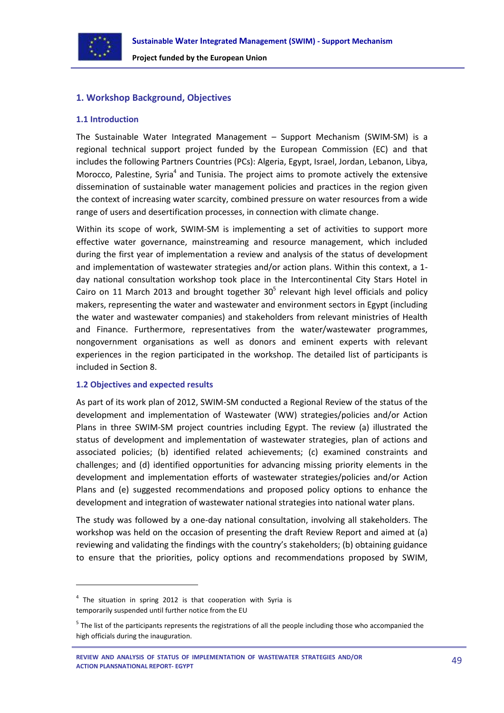

## <span id="page-48-0"></span>**1. Workshop Background, Objectives**

#### <span id="page-48-1"></span>**1.1 Introduction**

The Sustainable Water Integrated Management – Support Mechanism (SWIM-SM) is a regional technical support project funded by the European Commission (EC) and that includes the following Partners Countries (PCs): Algeria, Egypt, Israel, Jordan, Lebanon, Libya, Morocco, Palestine, Syria<sup>4</sup> and Tunisia. The project aims to promote actively the extensive dissemination of sustainable water management policies and practices in the region given the context of increasing water scarcity, combined pressure on water resources from a wide range of users and desertification processes, in connection with climate change.

Within its scope of work, SWIM-SM is implementing a set of activities to support more effective water governance, mainstreaming and resource management, which included during the first year of implementation a review and analysis of the status of development and implementation of wastewater strategies and/or action plans. Within this context, a 1 day national consultation workshop took place in the Intercontinental City Stars Hotel in Cairo on 11 March 2013 and brought together  $30<sup>5</sup>$  relevant high level officials and policy makers, representing the water and wastewater and environment sectors in Egypt (including the water and wastewater companies) and stakeholders from relevant ministries of Health and Finance. Furthermore, representatives from the water/wastewater programmes, nongovernment organisations as well as donors and eminent experts with relevant experiences in the region participated in the workshop. The detailed list of participants is included in Section 8.

#### <span id="page-48-2"></span>**1.2 Objectives and expected results**

**.** 

As part of its work plan of 2012, SWIM-SM conducted a Regional Review of the status of the development and implementation of Wastewater (WW) strategies/policies and/or Action Plans in three SWIM-SM project countries including Egypt. The review (a) illustrated the status of development and implementation of wastewater strategies, plan of actions and associated policies; (b) identified related achievements; (c) examined constraints and challenges; and (d) identified opportunities for advancing missing priority elements in the development and implementation efforts of wastewater strategies/policies and/or Action Plans and (e) suggested recommendations and proposed policy options to enhance the development and integration of wastewater national strategies into national water plans.

The study was followed by a one-day national consultation, involving all stakeholders. The workshop was held on the occasion of presenting the draft Review Report and aimed at (a) reviewing and validating the findings with the country's stakeholders; (b) obtaining guidance to ensure that the priorities, policy options and recommendations proposed by SWIM,

 $4$  The situation in spring 2012 is that cooperation with Syria is temporarily suspended until further notice from the EU

<sup>&</sup>lt;sup>5</sup> The list of the participants represents the registrations of all the people including those who accompanied the high officials during the inauguration.

**REVIEW AND ANALYSIS OF STATUS OF IMPLEMENTATION OF WASTEWATER STRATEGIES AND/OR ACTION PLANSNATIONAL REPORT- EGYPT**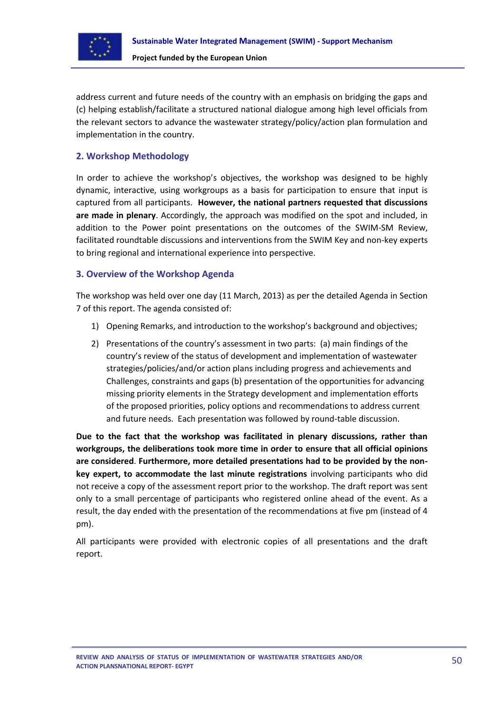

address current and future needs of the country with an emphasis on bridging the gaps and (c) helping establish/facilitate a structured national dialogue among high level officials from the relevant sectors to advance the wastewater strategy/policy/action plan formulation and implementation in the country.

## <span id="page-49-0"></span>**2. Workshop Methodology**

In order to achieve the workshop's objectives, the workshop was designed to be highly dynamic, interactive, using workgroups as a basis for participation to ensure that input is captured from all participants. **However, the national partners requested that discussions are made in plenary**. Accordingly, the approach was modified on the spot and included, in addition to the Power point presentations on the outcomes of the SWIM-SM Review, facilitated roundtable discussions and interventions from the SWIM Key and non-key experts to bring regional and international experience into perspective.

## <span id="page-49-1"></span>**3. Overview of the Workshop Agenda**

The workshop was held over one day (11 March, 2013) as per the detailed Agenda in Section 7 of this report. The agenda consisted of:

- 1) Opening Remarks, and introduction to the workshop's background and objectives;
- 2) Presentations of the country's assessment in two parts: (a) main findings of the country's review of the status of development and implementation of wastewater strategies/policies/and/or action plans including progress and achievements and Challenges, constraints and gaps (b) presentation of the opportunities for advancing missing priority elements in the Strategy development and implementation efforts of the proposed priorities, policy options and recommendations to address current and future needs. Each presentation was followed by round-table discussion.

**Due to the fact that the workshop was facilitated in plenary discussions, rather than workgroups, the deliberations took more time in order to ensure that all official opinions are considered**. **Furthermore, more detailed presentations had to be provided by the nonkey expert, to accommodate the last minute registrations** involving participants who did not receive a copy of the assessment report prior to the workshop. The draft report was sent only to a small percentage of participants who registered online ahead of the event. As a result, the day ended with the presentation of the recommendations at five pm (instead of 4 pm).

All participants were provided with electronic copies of all presentations and the draft report.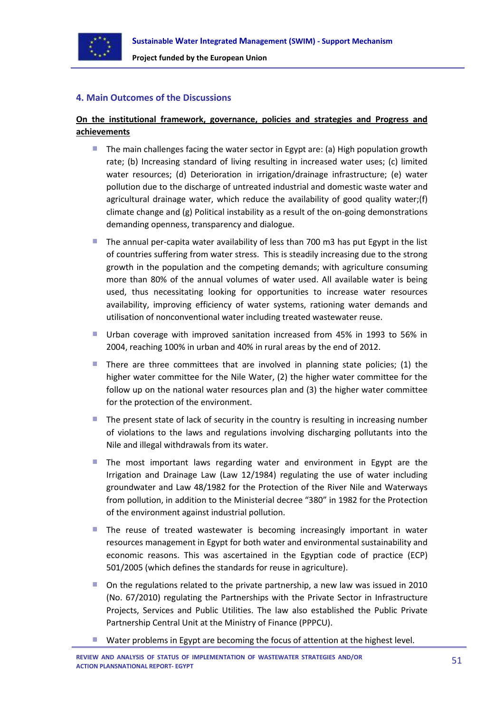

## <span id="page-50-0"></span>**4. Main Outcomes of the Discussions**

## **On the institutional framework, governance, policies and strategies and Progress and achievements**

- $\mathcal{L}_{\rm{eff}}$ The main challenges facing the water sector in Egypt are: (a) High population growth rate; (b) Increasing standard of living resulting in increased water uses; (c) limited water resources; (d) Deterioration in irrigation/drainage infrastructure; (e) water pollution due to the discharge of untreated industrial and domestic waste water and agricultural drainage water, which reduce the availability of good quality water;(f) climate change and (g) Political instability as a result of the on-going demonstrations demanding openness, transparency and dialogue.
- The annual per-capita water availability of less than 700 m3 has put Egypt in the list of countries suffering from water stress. This is steadily increasing due to the strong growth in the population and the competing demands; with agriculture consuming more than 80% of the annual volumes of water used. All available water is being used, thus necessitating looking for opportunities to increase water resources availability, improving efficiency of water systems, rationing water demands and utilisation of nonconventional water including treated wastewater reuse.
- Urban coverage with improved sanitation increased from 45% in 1993 to 56% in 2004, reaching 100% in urban and 40% in rural areas by the end of 2012.
- There are three committees that are involved in planning state policies; (1) the **College** higher water committee for the Nile Water, (2) the higher water committee for the follow up on the national water resources plan and (3) the higher water committee for the protection of the environment.
- The present state of lack of security in the country is resulting in increasing number of violations to the laws and regulations involving discharging pollutants into the Nile and illegal withdrawals from its water.
- The most important laws regarding water and environment in Egypt are the Irrigation and Drainage Law (Law 12/1984) regulating the use of water including groundwater and Law 48/1982 for the Protection of the River Nile and Waterways from pollution, in addition to the Ministerial decree "380" in 1982 for the Protection of the environment against industrial pollution.
- The reuse of treated wastewater is becoming increasingly important in water resources management in Egypt for both water and environmental sustainability and economic reasons. This was ascertained in the Egyptian code of practice (ECP) 501/2005 (which defines the standards for reuse in agriculture).
- On the regulations related to the private partnership, a new law was issued in 2010 (No. 67/2010) regulating the Partnerships with the Private Sector in Infrastructure Projects, Services and Public Utilities. The law also established the Public Private Partnership Central Unit at the Ministry of Finance (PPPCU).
- Water problems in Egypt are becoming the focus of attention at the highest level.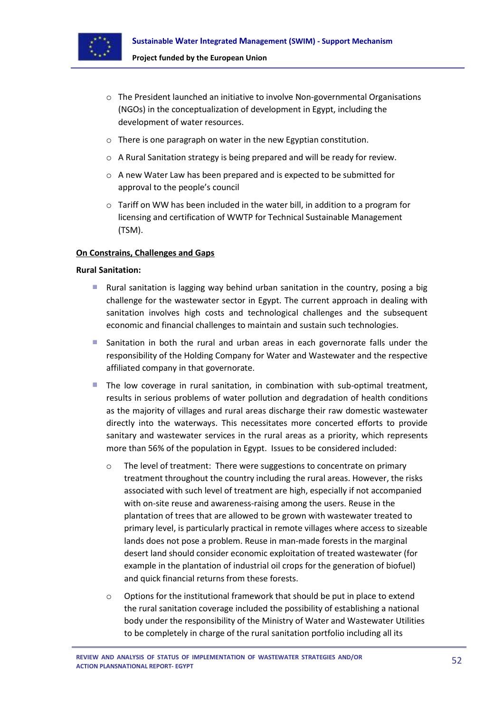

- o The President launched an initiative to involve Non-governmental Organisations (NGOs) in the conceptualization of development in Egypt, including the development of water resources.
- o There is one paragraph on water in the new Egyptian constitution.
- o A Rural Sanitation strategy is being prepared and will be ready for review.
- o A new Water Law has been prepared and is expected to be submitted for approval to the people's council
- o Tariff on WW has been included in the water bill, in addition to a program for licensing and certification of WWTP for Technical Sustainable Management (TSM).

#### **On Constrains, Challenges and Gaps**

#### **Rural Sanitation:**

- **College** Rural sanitation is lagging way behind urban sanitation in the country, posing a big challenge for the wastewater sector in Egypt. The current approach in dealing with sanitation involves high costs and technological challenges and the subsequent economic and financial challenges to maintain and sustain such technologies.
- **College** Sanitation in both the rural and urban areas in each governorate falls under the responsibility of the Holding Company for Water and Wastewater and the respective affiliated company in that governorate.
- The low coverage in rural sanitation, in combination with sub-optimal treatment, a. results in serious problems of water pollution and degradation of health conditions as the majority of villages and rural areas discharge their raw domestic wastewater directly into the waterways. This necessitates more concerted efforts to provide sanitary and wastewater services in the rural areas as a priority, which represents more than 56% of the population in Egypt. Issues to be considered included:
	- o The level of treatment: There were suggestions to concentrate on primary treatment throughout the country including the rural areas. However, the risks associated with such level of treatment are high, especially if not accompanied with on-site reuse and awareness-raising among the users. Reuse in the plantation of trees that are allowed to be grown with wastewater treated to primary level, is particularly practical in remote villages where access to sizeable lands does not pose a problem. Reuse in man-made forests in the marginal desert land should consider economic exploitation of treated wastewater (for example in the plantation of industrial oil crops for the generation of biofuel) and quick financial returns from these forests.
	- Options for the institutional framework that should be put in place to extend the rural sanitation coverage included the possibility of establishing a national body under the responsibility of the Ministry of Water and Wastewater Utilities to be completely in charge of the rural sanitation portfolio including all its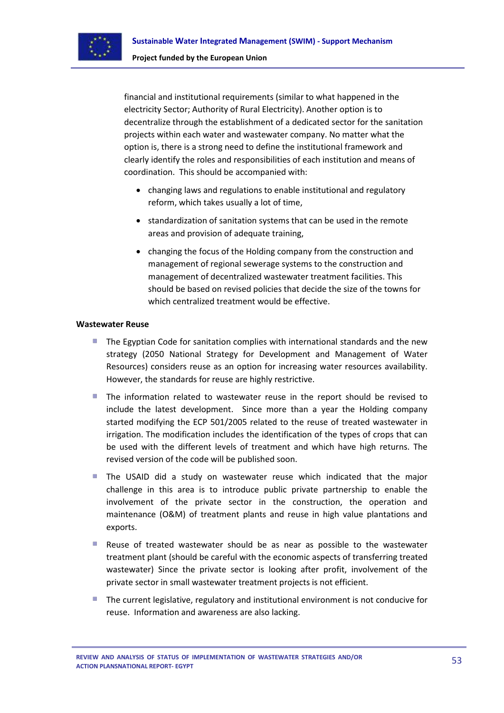

financial and institutional requirements (similar to what happened in the electricity Sector; Authority of Rural Electricity). Another option is to decentralize through the establishment of a dedicated sector for the sanitation projects within each water and wastewater company. No matter what the option is, there is a strong need to define the institutional framework and clearly identify the roles and responsibilities of each institution and means of coordination. This should be accompanied with:

- changing laws and regulations to enable institutional and regulatory reform, which takes usually a lot of time,
- standardization of sanitation systems that can be used in the remote areas and provision of adequate training,
- changing the focus of the Holding company from the construction and management of regional sewerage systems to the construction and management of decentralized wastewater treatment facilities. This should be based on revised policies that decide the size of the towns for which centralized treatment would be effective.

#### **Wastewater Reuse**

- u, The Egyptian Code for sanitation complies with international standards and the new strategy (2050 National Strategy for Development and Management of Water Resources) considers reuse as an option for increasing water resources availability. However, the standards for reuse are highly restrictive.
- **COL** The information related to wastewater reuse in the report should be revised to include the latest development. Since more than a year the Holding company started modifying the ECP 501/2005 related to the reuse of treated wastewater in irrigation. The modification includes the identification of the types of crops that can be used with the different levels of treatment and which have high returns. The revised version of the code will be published soon.
- The USAID did a study on wastewater reuse which indicated that the major challenge in this area is to introduce public private partnership to enable the involvement of the private sector in the construction, the operation and maintenance (O&M) of treatment plants and reuse in high value plantations and exports.
- Reuse of treated wastewater should be as near as possible to the wastewater treatment plant (should be careful with the economic aspects of transferring treated wastewater) Since the private sector is looking after profit, involvement of the private sector in small wastewater treatment projects is not efficient.
- The current legislative, regulatory and institutional environment is not conducive for reuse. Information and awareness are also lacking.

**REVIEW AND ANALYSIS OF STATUS OF IMPLEMENTATION OF WASTEWATER STRATEGIES AND/OR ACTION PLANSNATIONAL REPORT- EGYPT**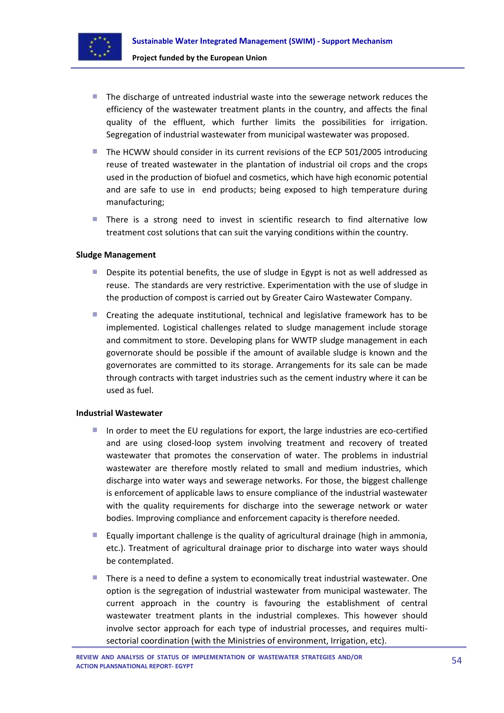

- The discharge of untreated industrial waste into the sewerage network reduces the efficiency of the wastewater treatment plants in the country, and affects the final quality of the effluent, which further limits the possibilities for irrigation. Segregation of industrial wastewater from municipal wastewater was proposed.
- The HCWW should consider in its current revisions of the ECP 501/2005 introducing reuse of treated wastewater in the plantation of industrial oil crops and the crops used in the production of biofuel and cosmetics, which have high economic potential and are safe to use in end products; being exposed to high temperature during manufacturing;
- **There is a strong need to invest in scientific research to find alternative low** treatment cost solutions that can suit the varying conditions within the country.

#### **Sludge Management**

- **Despite its potential benefits, the use of sludge in Egypt is not as well addressed as** reuse. The standards are very restrictive. Experimentation with the use of sludge in the production of compost is carried out by Greater Cairo Wastewater Company.
- m. Creating the adequate institutional, technical and legislative framework has to be implemented. Logistical challenges related to sludge management include storage and commitment to store. Developing plans for WWTP sludge management in each governorate should be possible if the amount of available sludge is known and the governorates are committed to its storage. Arrangements for its sale can be made through contracts with target industries such as the cement industry where it can be used as fuel.

#### **Industrial Wastewater**

- In order to meet the EU regulations for export, the large industries are eco-certified and are using closed-loop system involving treatment and recovery of treated wastewater that promotes the conservation of water. The problems in industrial wastewater are therefore mostly related to small and medium industries, which discharge into water ways and sewerage networks. For those, the biggest challenge is enforcement of applicable laws to ensure compliance of the industrial wastewater with the quality requirements for discharge into the sewerage network or water bodies. Improving compliance and enforcement capacity is therefore needed.
- **Equally important challenge is the quality of agricultural drainage (high in ammonia,** etc.). Treatment of agricultural drainage prior to discharge into water ways should be contemplated.
- There is a need to define a system to economically treat industrial wastewater. One option is the segregation of industrial wastewater from municipal wastewater. The current approach in the country is favouring the establishment of central wastewater treatment plants in the industrial complexes. This however should involve sector approach for each type of industrial processes, and requires multisectorial coordination (with the Ministries of environment, Irrigation, etc).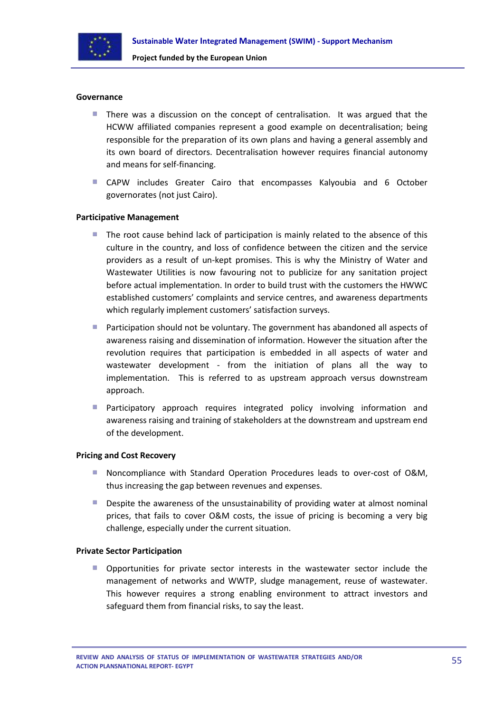

#### **Governance**

- a. There was a discussion on the concept of centralisation. It was argued that the HCWW affiliated companies represent a good example on decentralisation; being responsible for the preparation of its own plans and having a general assembly and its own board of directors. Decentralisation however requires financial autonomy and means for self-financing.
- CAPW includes Greater Cairo that encompasses Kalyoubia and 6 October governorates (not just Cairo).

#### **Participative Management**

- **COL** The root cause behind lack of participation is mainly related to the absence of this culture in the country, and loss of confidence between the citizen and the service providers as a result of un-kept promises. This is why the Ministry of Water and Wastewater Utilities is now favouring not to publicize for any sanitation project before actual implementation. In order to build trust with the customers the HWWC established customers' complaints and service centres, and awareness departments which regularly implement customers' satisfaction surveys.
- **Participation should not be voluntary. The government has abandoned all aspects of** awareness raising and dissemination of information. However the situation after the revolution requires that participation is embedded in all aspects of water and wastewater development - from the initiation of plans all the way to implementation. This is referred to as upstream approach versus downstream approach.
- **Participatory approach requires integrated policy involving information and** awareness raising and training of stakeholders at the downstream and upstream end of the development.

#### **Pricing and Cost Recovery**

- **Noncompliance with Standard Operation Procedures leads to over-cost of O&M,** thus increasing the gap between revenues and expenses.
- a. Despite the awareness of the unsustainability of providing water at almost nominal prices, that fails to cover O&M costs, the issue of pricing is becoming a very big challenge, especially under the current situation.

#### **Private Sector Participation**

**Opportunities for private sector interests in the wastewater sector include the** management of networks and WWTP, sludge management, reuse of wastewater. This however requires a strong enabling environment to attract investors and safeguard them from financial risks, to say the least.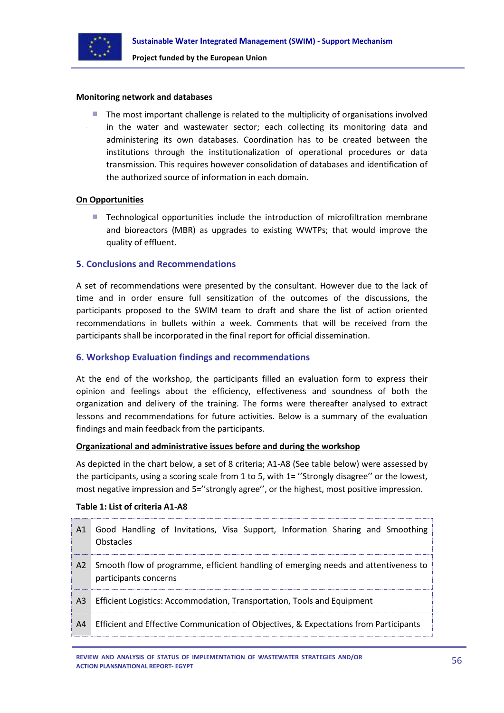

#### **Monitoring network and databases**

The most important challenge is related to the multiplicity of organisations involved in the water and wastewater sector; each collecting its monitoring data and administering its own databases. Coordination has to be created between the institutions through the institutionalization of operational procedures or data transmission. This requires however consolidation of databases and identification of the authorized source of information in each domain.

#### **On Opportunities**

Technological opportunities include the introduction of microfiltration membrane and bioreactors (MBR) as upgrades to existing WWTPs; that would improve the quality of effluent.

#### <span id="page-55-0"></span>**5. Conclusions and Recommendations**

A set of recommendations were presented by the consultant. However due to the lack of time and in order ensure full sensitization of the outcomes of the discussions, the participants proposed to the SWIM team to draft and share the list of action oriented recommendations in bullets within a week. Comments that will be received from the participants shall be incorporated in the final report for official dissemination.

#### <span id="page-55-1"></span>**6. Workshop Evaluation findings and recommendations**

At the end of the workshop, the participants filled an evaluation form to express their opinion and feelings about the efficiency, effectiveness and soundness of both the organization and delivery of the training. The forms were thereafter analysed to extract lessons and recommendations for future activities. Below is a summary of the evaluation findings and main feedback from the participants.

#### **Organizational and administrative issues before and during the workshop**

As depicted in the chart below, a set of 8 criteria; A1-A8 (See table below) were assessed by the participants, using a scoring scale from 1 to 5, with 1= ''Strongly disagree'' or the lowest, most negative impression and 5="strongly agree", or the highest, most positive impression.

#### **Table 1: List of criteria A1-A8**

| A1             | Good Handling of Invitations, Visa Support, Information Sharing and Smoothing<br><b>Obstacles</b>            |
|----------------|--------------------------------------------------------------------------------------------------------------|
| A2             | Smooth flow of programme, efficient handling of emerging needs and attentiveness to<br>participants concerns |
| A <sub>3</sub> | Efficient Logistics: Accommodation, Transportation, Tools and Equipment                                      |
| A <sup>4</sup> | Efficient and Effective Communication of Objectives, & Expectations from Participants                        |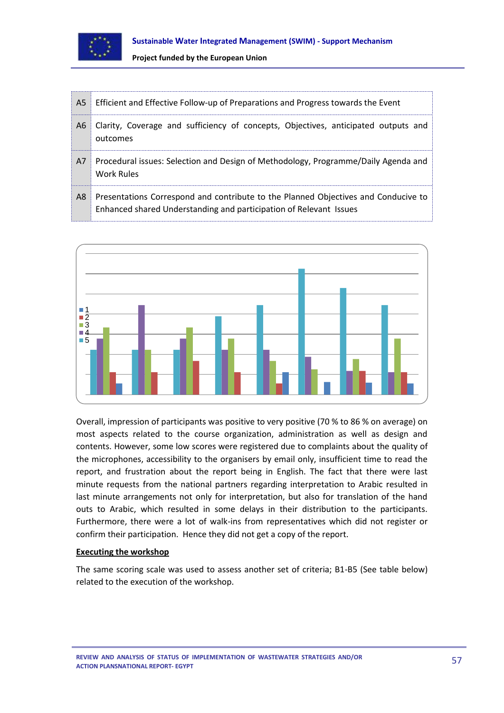

| A <sub>5</sub> | Efficient and Effective Follow-up of Preparations and Progress towards the Event                                                                         |
|----------------|----------------------------------------------------------------------------------------------------------------------------------------------------------|
| A6             | Clarity, Coverage and sufficiency of concepts, Objectives, anticipated outputs and<br>outcomes                                                           |
| A7             | Procedural issues: Selection and Design of Methodology, Programme/Daily Agenda and<br>Work Rules                                                         |
| A8             | Presentations Correspond and contribute to the Planned Objectives and Conducive to<br>Enhanced shared Understanding and participation of Relevant Issues |



Overall, impression of participants was positive to very positive (70 % to 86 % on average) on most aspects related to the course organization, administration as well as design and contents. However, some low scores were registered due to complaints about the quality of the microphones, accessibility to the organisers by email only, insufficient time to read the report, and frustration about the report being in English. The fact that there were last minute requests from the national partners regarding interpretation to Arabic resulted in last minute arrangements not only for interpretation, but also for translation of the hand outs to Arabic, which resulted in some delays in their distribution to the participants. Furthermore, there were a lot of walk-ins from representatives which did not register or confirm their participation. Hence they did not get a copy of the report.

## **Executing the workshop**

The same scoring scale was used to assess another set of criteria; B1-B5 (See table below) related to the execution of the workshop.

**REVIEW AND ANALYSIS OF STATUS OF IMPLEMENTATION OF WASTEWATER STRATEGIES AND/OR ACTION PLANSNATIONAL REPORT- EGYPT**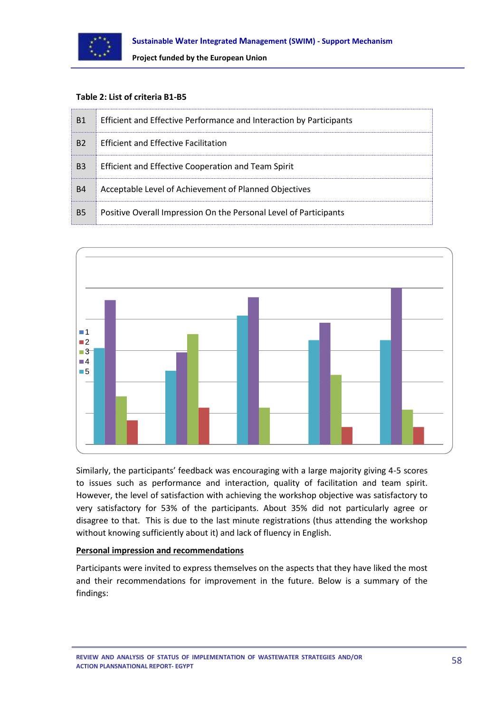

#### **Table 2: List of criteria B1-B5**

| B <sub>1</sub> | Efficient and Effective Performance and Interaction by Participants |
|----------------|---------------------------------------------------------------------|
| B <sub>2</sub> | Efficient and Effective Facilitation                                |
| B <sub>3</sub> | Efficient and Effective Cooperation and Team Spirit                 |
| <b>B4</b>      | Acceptable Level of Achievement of Planned Objectives               |
| <b>B5</b>      | Positive Overall Impression On the Personal Level of Participants   |



Similarly, the participants' feedback was encouraging with a large majority giving 4-5 scores to issues such as performance and interaction, quality of facilitation and team spirit. However, the level of satisfaction with achieving the workshop objective was satisfactory to very satisfactory for 53% of the participants. About 35% did not particularly agree or disagree to that. This is due to the last minute registrations (thus attending the workshop without knowing sufficiently about it) and lack of fluency in English.

#### **Personal impression and recommendations**

Participants were invited to express themselves on the aspects that they have liked the most and their recommendations for improvement in the future. Below is a summary of the findings:

**REVIEW AND ANALYSIS OF STATUS OF IMPLEMENTATION OF WASTEWATER STRATEGIES AND/OR ACTION PLANSNATIONAL REPORT- EGYPT**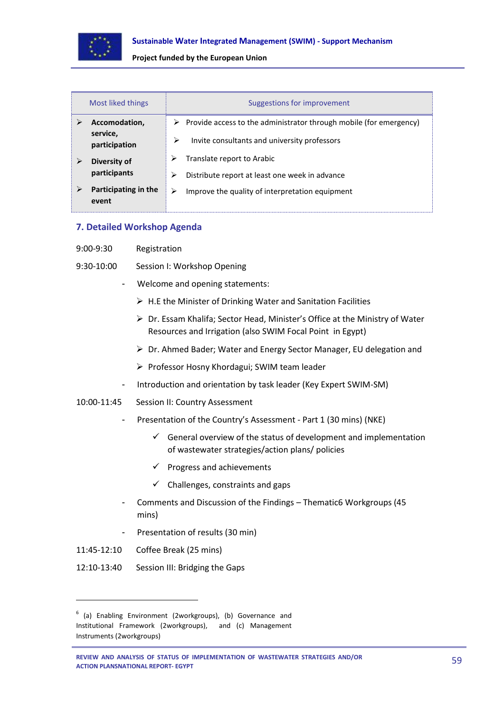

| Most liked things             | Suggestions for improvement                                             |  |  |
|-------------------------------|-------------------------------------------------------------------------|--|--|
| Accomodation,                 | Provide access to the administrator through mobile (for emergency)<br>➤ |  |  |
| service,<br>participation     | ⋗<br>Invite consultants and university professors                       |  |  |
| Diversity of                  | Translate report to Arabic                                              |  |  |
| participants                  | Distribute report at least one week in advance<br>⋗                     |  |  |
| Participating in the<br>event | Improve the quality of interpretation equipment<br>⋗                    |  |  |

#### <span id="page-58-0"></span>**7. Detailed Workshop Agenda**

- 9:00-9:30 Registration
- 9:30-10:00 Session I: Workshop Opening
	- Welcome and opening statements:
		- $\triangleright$  H.E the Minister of Drinking Water and Sanitation Facilities
		- Dr. Essam Khalifa; Sector Head, Minister's Office at the Ministry of Water Resources and Irrigation (also SWIM Focal Point in Egypt)
		- Dr. Ahmed Bader; Water and Energy Sector Manager, EU delegation and
		- Professor Hosny Khordagui; SWIM team leader
	- Introduction and orientation by task leader (Key Expert SWIM-SM)
- 10:00-11:45 Session II: Country Assessment
	- Presentation of the Country's Assessment Part 1 (30 mins) (NKE)
		- $\checkmark$  General overview of the status of development and implementation of wastewater strategies/action plans/ policies
		- $\checkmark$  Progress and achievements
		- $\checkmark$  Challenges, constraints and gaps
	- Comments and Discussion of the Findings Thematic6 Workgroups (45 mins)
	- Presentation of results (30 min)
- 11:45-12:10 Coffee Break (25 mins)

**.** 

12:10-13:40 Session III: Bridging the Gaps

<sup>&</sup>lt;sup>6</sup> (a) Enabling Environment (2workgroups), (b) Governance and Institutional Framework (2workgroups), and (c) Management Instruments (2workgroups)

**REVIEW AND ANALYSIS OF STATUS OF IMPLEMENTATION OF WASTEWATER STRATEGIES AND/OR ACTION PLANSNATIONAL REPORT- EGYPT**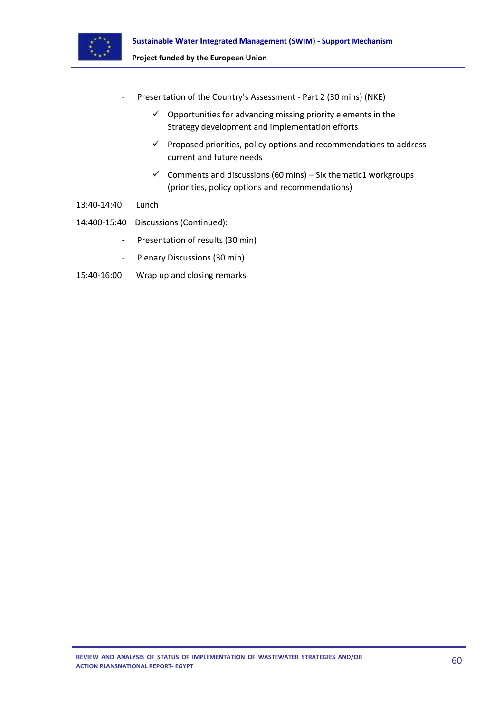

- Presentation of the Country's Assessment Part 2 (30 mins) (NKE)
	- $\checkmark$  Opportunities for advancing missing priority elements in the Strategy development and implementation efforts
	- $\checkmark$  Proposed priorities, policy options and recommendations to address current and future needs
	- $\checkmark$  Comments and discussions (60 mins) Six thematic1 workgroups (priorities, policy options and recommendations)
- 13:40-14:40 Lunch
- 14:400-15:40 Discussions (Continued):
	- Presentation of results (30 min)
	- Plenary Discussions (30 min)
- 15:40-16:00 Wrap up and closing remarks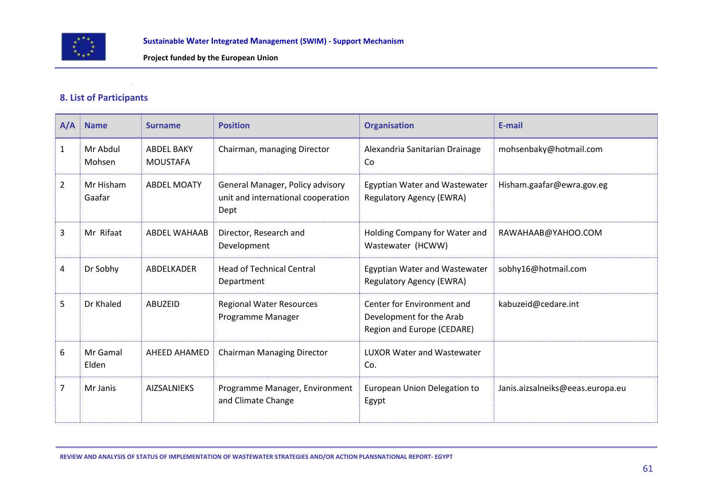

## **8. List of Participants**

| A/A            | <b>Name</b>         | <b>Surname</b>                       | <b>Position</b>                                                                | <b>Organisation</b>                                                                  | E-mail                           |
|----------------|---------------------|--------------------------------------|--------------------------------------------------------------------------------|--------------------------------------------------------------------------------------|----------------------------------|
| $\mathbf{1}$   | Mr Abdul<br>Mohsen  | <b>ABDFL BAKY</b><br><b>MOUSTAFA</b> | Chairman, managing Director                                                    | Alexandria Sanitarian Drainage<br>Co                                                 | mohsenbaky@hotmail.com           |
| $\overline{2}$ | Mr Hisham<br>Gaafar | <b>ABDEL MOATY</b>                   | General Manager, Policy advisory<br>unit and international cooperation<br>Dept | <b>Egyptian Water and Wastewater</b><br>Regulatory Agency (EWRA)                     | Hisham.gaafar@ewra.gov.eg        |
| 3              | Mr Rifaat           | <b>ABDEL WAHAAB</b>                  | Director, Research and<br>Development                                          | Holding Company for Water and<br>Wastewater (HCWW)                                   | RAWAHAAB@YAHOO.COM               |
| 4              | Dr Sobhy            | ABDELKADER                           | <b>Head of Technical Central</b><br>Department                                 | Egyptian Water and Wastewater<br>Regulatory Agency (EWRA)                            | sobhy16@hotmail.com              |
| 5              | Dr Khaled           | <b>ABUZEID</b>                       | <b>Regional Water Resources</b><br>Programme Manager                           | Center for Environment and<br>Development for the Arab<br>Region and Europe (CEDARE) | kabuzeid@cedare.int              |
| 6              | Mr Gamal<br>Elden   | AHEED AHAMED                         | <b>Chairman Managing Director</b>                                              | <b>LUXOR Water and Wastewater</b><br>Co.                                             |                                  |
| $\overline{7}$ | Mr Janis            | <b>AIZSALNIEKS</b>                   | Programme Manager, Environment<br>and Climate Change                           | European Union Delegation to<br>Egypt                                                | Janis.aizsalneiks@eeas.europa.eu |

<span id="page-60-0"></span>**REVIEW AND ANALYSIS OF STATUS OF IMPLEMENTATION OF WASTEWATER STRATEGIES AND/OR ACTION PLANSNATIONAL REPORT- EGYPT**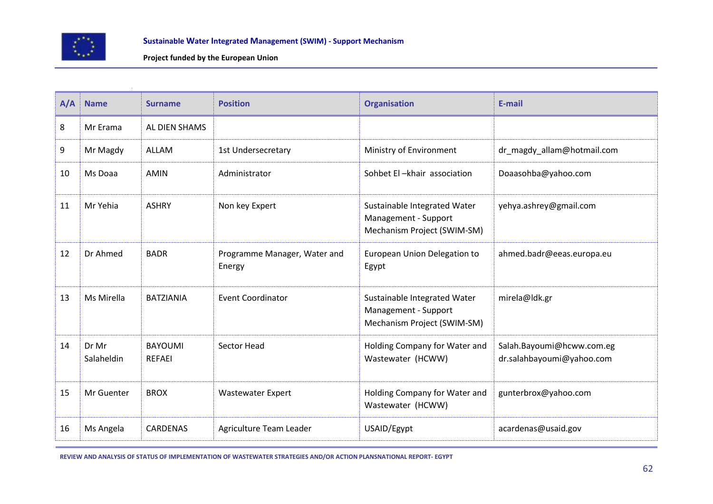

| A/A | <b>Name</b>         | <b>Surname</b>                  | <b>Position</b>                        | <b>Organisation</b>                                                                 | E-mail                                                 |
|-----|---------------------|---------------------------------|----------------------------------------|-------------------------------------------------------------------------------------|--------------------------------------------------------|
| 8   | Mr Erama            | AL DIEN SHAMS                   |                                        |                                                                                     |                                                        |
| 9   | Mr Magdy            | <b>ALLAM</b>                    | 1st Undersecretary                     | Ministry of Environment                                                             | dr_magdy_allam@hotmail.com                             |
| 10  | Ms Doaa             | <b>AMIN</b>                     | Administrator                          | Sohbet El-khair association                                                         | Doaasohba@yahoo.com                                    |
| 11  | Mr Yehia            | <b>ASHRY</b>                    | Non key Expert                         | Sustainable Integrated Water<br>Management - Support<br>Mechanism Project (SWIM-SM) | yehya.ashrey@gmail.com                                 |
| 12  | Dr Ahmed            | <b>BADR</b>                     | Programme Manager, Water and<br>Energy | European Union Delegation to<br>Egypt                                               | ahmed.badr@eeas.europa.eu                              |
| 13  | Ms Mirella          | <b>BATZIANIA</b>                | <b>Event Coordinator</b>               | Sustainable Integrated Water<br>Management - Support<br>Mechanism Project (SWIM-SM) | mirela@ldk.gr                                          |
| 14  | Dr Mr<br>Salaheldin | <b>BAYOUMI</b><br><b>REFAEI</b> | <b>Sector Head</b>                     | Holding Company for Water and<br>Wastewater (HCWW)                                  | Salah.Bayoumi@hcww.com.eg<br>dr.salahbayoumi@yahoo.com |
| 15  | Mr Guenter          | <b>BROX</b>                     | <b>Wastewater Expert</b>               | Holding Company for Water and<br>Wastewater (HCWW)                                  | gunterbrox@yahoo.com                                   |
| 16  | Ms Angela           | <b>CARDENAS</b>                 | Agriculture Team Leader                | USAID/Egypt                                                                         | acardenas@usaid.gov                                    |

**REVIEW AND ANALYSIS OF STATUS OF IMPLEMENTATION OF WASTEWATER STRATEGIES AND/OR ACTION PLANSNATIONAL REPORT- EGYPT**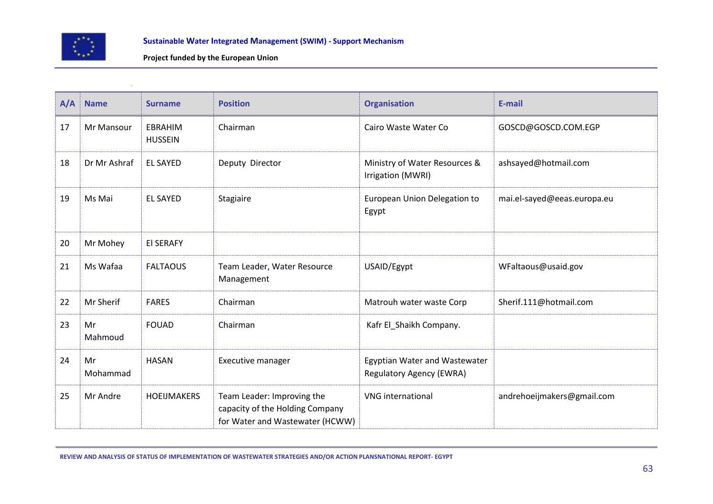

| A/A | <b>Name</b>    | <b>Surname</b>                   | <b>Position</b>                                                                                  | <b>Organisation</b>                                              | E-mail                      |
|-----|----------------|----------------------------------|--------------------------------------------------------------------------------------------------|------------------------------------------------------------------|-----------------------------|
| 17  | Mr Mansour     | <b>EBRAHIM</b><br><b>HUSSEIN</b> | Chairman                                                                                         | Cairo Waste Water Co                                             | GOSCD@GOSCD.COM.EGP         |
| 18  | Dr Mr Ashraf   | <b>EL SAYED</b>                  | Deputy Director                                                                                  | Ministry of Water Resources &<br>Irrigation (MWRI)               | ashsayed@hotmail.com        |
| 19  | Ms Mai         | <b>EL SAYED</b>                  | Stagiaire                                                                                        | European Union Delegation to<br>Egypt                            | mai.el-sayed@eeas.europa.eu |
| 20  | Mr Mohey       | <b>EI SERAFY</b>                 |                                                                                                  |                                                                  |                             |
| 21  | Ms Wafaa       | <b>FALTAOUS</b>                  | Team Leader, Water Resource<br>Management                                                        | USAID/Egypt                                                      | WFaltaous@usaid.gov         |
| 22  | Mr Sherif      | <b>FARES</b>                     | Chairman                                                                                         | Matrouh water waste Corp                                         | Sherif.111@hotmail.com      |
| 23  | Mr<br>Mahmoud  | <b>FOUAD</b>                     | Chairman                                                                                         | Kafr El_Shaikh Company.                                          |                             |
| 24  | Mr<br>Mohammad | <b>HASAN</b>                     | Executive manager                                                                                | Egyptian Water and Wastewater<br><b>Regulatory Agency (EWRA)</b> |                             |
| 25  | Mr Andre       | <b>HOEIJMAKERS</b>               | Team Leader: Improving the<br>capacity of the Holding Company<br>for Water and Wastewater (HCWW) | <b>VNG</b> international                                         | andrehoeijmakers@gmail.com  |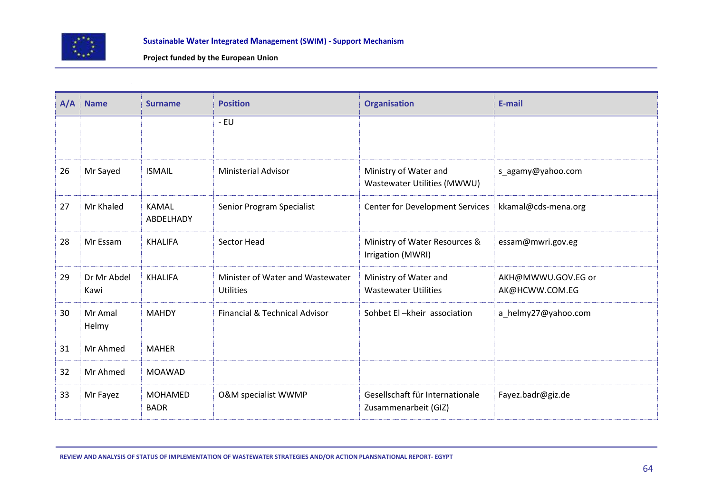

| A/A | <b>Name</b>         | <b>Surname</b>                | <b>Position</b>                                      | <b>Organisation</b>                                     | E-mail                               |
|-----|---------------------|-------------------------------|------------------------------------------------------|---------------------------------------------------------|--------------------------------------|
|     |                     |                               | - EU                                                 |                                                         |                                      |
|     |                     |                               |                                                      |                                                         |                                      |
| 26  | Mr Sayed            | <b>ISMAIL</b>                 | <b>Ministerial Advisor</b>                           | Ministry of Water and<br>Wastewater Utilities (MWWU)    | s_agamy@yahoo.com                    |
| 27  | Mr Khaled           | <b>KAMAL</b><br>ABDELHADY     | Senior Program Specialist                            | <b>Center for Development Services</b>                  | kkamal@cds-mena.org                  |
| 28  | Mr Essam            | <b>KHALIFA</b>                | <b>Sector Head</b>                                   | Ministry of Water Resources &<br>Irrigation (MWRI)      | essam@mwri.gov.eg                    |
| 29  | Dr Mr Abdel<br>Kawi | <b>KHALIFA</b>                | Minister of Water and Wastewater<br><b>Utilities</b> | Ministry of Water and<br><b>Wastewater Utilities</b>    | AKH@MWWU.GOV.EG or<br>AK@HCWW.COM.EG |
| 30  | Mr Amal<br>Helmy    | <b>MAHDY</b>                  | Financial & Technical Advisor                        | Sohbet El-kheir association                             | a_helmy27@yahoo.com                  |
| 31  | Mr Ahmed            | <b>MAHER</b>                  |                                                      |                                                         |                                      |
| 32  | Mr Ahmed            | <b>MOAWAD</b>                 |                                                      |                                                         |                                      |
| 33  | Mr Fayez            | <b>MOHAMED</b><br><b>BADR</b> | <b>O&amp;M</b> specialist WWMP                       | Gesellschaft für Internationale<br>Zusammenarbeit (GIZ) | Fayez.badr@giz.de                    |

**REVIEW AND ANALYSIS OF STATUS OF IMPLEMENTATION OF WASTEWATER STRATEGIES AND/OR ACTION PLANSNATIONAL REPORT- EGYPT**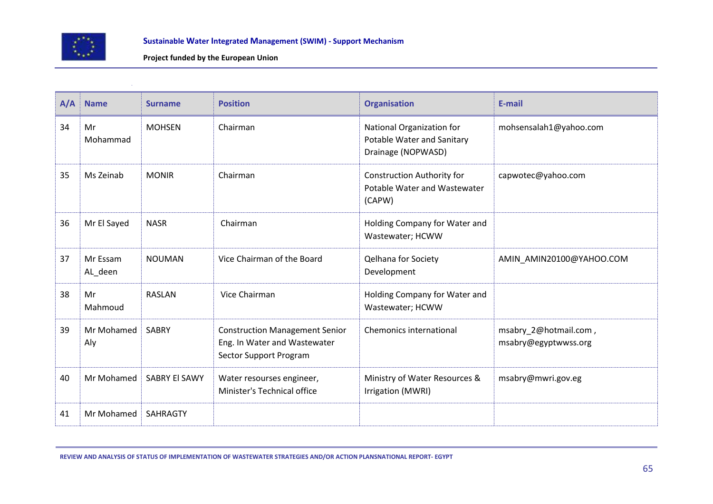

| A/A | <b>Name</b>         | <b>Surname</b>  | <b>Position</b>                                                                                 | <b>Organisation</b>                                                           | E-mail                                        |
|-----|---------------------|-----------------|-------------------------------------------------------------------------------------------------|-------------------------------------------------------------------------------|-----------------------------------------------|
| 34  | Mr<br>Mohammad      | <b>MOHSEN</b>   | Chairman                                                                                        | National Organization for<br>Potable Water and Sanitary<br>Drainage (NOPWASD) | mohsensalah1@yahoo.com                        |
| 35  | Ms Zeinab           | <b>MONIR</b>    | Chairman                                                                                        | <b>Construction Authority for</b><br>Potable Water and Wastewater<br>(CAPW)   | capwotec@yahoo.com                            |
| 36  | Mr El Sayed         | <b>NASR</b>     | Chairman                                                                                        | Holding Company for Water and<br>Wastewater; HCWW                             |                                               |
| 37  | Mr Essam<br>AL_deen | <b>NOUMAN</b>   | Vice Chairman of the Board                                                                      | <b>Qelhana for Society</b><br>Development                                     | AMIN_AMIN20100@YAHOO.COM                      |
| 38  | Mr<br>Mahmoud       | <b>RASLAN</b>   | Vice Chairman                                                                                   | Holding Company for Water and<br>Wastewater; HCWW                             |                                               |
| 39  | Mr Mohamed<br>Aly   | <b>SABRY</b>    | <b>Construction Management Senior</b><br>Eng. In Water and Wastewater<br>Sector Support Program | <b>Chemonics international</b>                                                | msabry_2@hotmail.com,<br>msabry@egyptwwss.org |
| 40  | Mr Mohamed          | SABRY El SAWY   | Water resourses engineer,<br>Minister's Technical office                                        | Ministry of Water Resources &<br>Irrigation (MWRI)                            | msabry@mwri.gov.eg                            |
| 41  | Mr Mohamed          | <b>SAHRAGTY</b> |                                                                                                 |                                                                               |                                               |

**REVIEW AND ANALYSIS OF STATUS OF IMPLEMENTATION OF WASTEWATER STRATEGIES AND/OR ACTION PLANSNATIONAL REPORT- EGYPT**